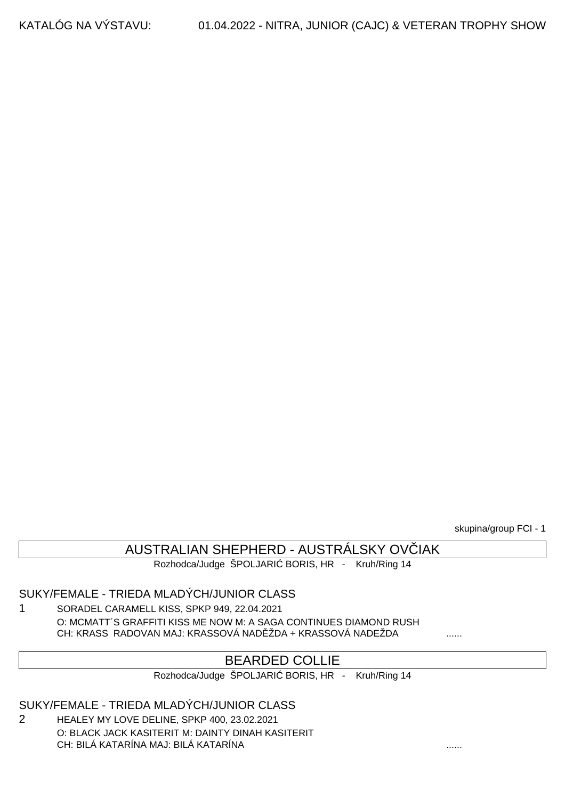skupina/group FCI - 1

### AUSTRALIAN SHEPHERD - AUSTRÁLSKY OV IAK

Rozhodca/Judge ŠPOLJARI BORIS, HR - Kruh/Ring 14

### SUKY/FEMALE - TRIEDA MLADÝCH/JUNIOR CLASS

1 SORADEL CARAMELL KISS, SPKP 949, 22.04.2021 O: MCMATT´S GRAFFITI KISS ME NOW M: A SAGA CONTINUES DIAMOND RUSH CH: KRASS RADOVAN MAJ: KRASSOVÁ NAD ŽDA + KRASSOVÁ NADEŽDA .......

### BEARDED COLLIE

Rozhodca/Judge ŠPOLJARI BORIS, HR - Kruh/Ring 14

### SUKY/FEMALE - TRIEDA MLADÝCH/JUNIOR CLASS

2 HEALEY MY LOVE DELINE, SPKP 400, 23.02.2021 O: BLACK JACK KASITERIT M: DAINTY DINAH KASITERIT CH: BILÁ KATARÍNA MAJ: BILÁ KATARÍNA ......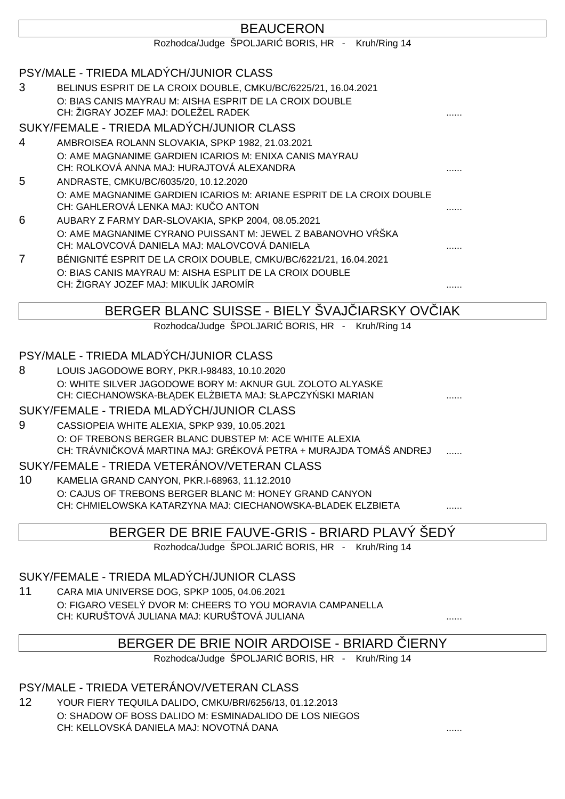|                | <b>BEAUCERON</b>                                                                                                      |  |
|----------------|-----------------------------------------------------------------------------------------------------------------------|--|
|                | Rozhodca/Judge ŠPOLJARI BORIS, HR - Kruh/Ring 14                                                                      |  |
|                |                                                                                                                       |  |
|                | PSY/MALE - TRIEDA MLADÝCH/JUNIOR CLASS                                                                                |  |
| 3              | BELINUS ESPRIT DE LA CROIX DOUBLE, CMKU/BC/6225/21, 16.04.2021                                                        |  |
|                | O: BIAS CANIS MAYRAU M: AISHA ESPRIT DE LA CROIX DOUBLE<br>CH: ŽIGRAY JOZEF MAJ: DOLEŽEL RADEK                        |  |
|                |                                                                                                                       |  |
|                | SUKY/FEMALE - TRIEDA MLADÝCH/JUNIOR CLASS                                                                             |  |
| 4              | AMBROISEA ROLANN SLOVAKIA, SPKP 1982, 21.03.2021                                                                      |  |
|                | O: AME MAGNANIME GARDIEN ICARIOS M: ENIXA CANIS MAYRAU<br>CH: ROLKOVÁ ANNA MAJ: HURAJTOVÁ ALEXANDRA                   |  |
| 5              | ANDRASTE, CMKU/BC/6035/20, 10.12.2020                                                                                 |  |
|                | O: AME MAGNANIME GARDIEN ICARIOS M: ARIANE ESPRIT DE LA CROIX DOUBLE<br>CH: GAHLEROVÁ LENKA MAJ: KU O ANTON           |  |
| 6              | AUBARY Z FARMY DAR-SLOVAKIA, SPKP 2004, 08.05.2021                                                                    |  |
|                | O: AME MAGNANIME CYRANO PUISSANT M: JEWEL Z BABANOVHO V ŠKA                                                           |  |
|                | CH: MALOVCOVÁ DANIELA MAJ: MALOVCOVÁ DANIELA                                                                          |  |
| $\overline{7}$ | BÉNIGNITÉ ESPRIT DE LA CROIX DOUBLE, CMKU/BC/6221/21, 16.04.2021                                                      |  |
|                | O: BIAS CANIS MAYRAU M: AISHA ESPLIT DE LA CROIX DOUBLE                                                               |  |
|                | CH: ŽIGRAY JOZEF MAJ: MIKULÍK JAROMÍR                                                                                 |  |
|                | BERGER BLANC SUISSE - BIELY SVAJ IARSKY OV IAK                                                                        |  |
|                | Rozhodca/Judge ŠPOLJARI BORIS, HR - Kruh/Ring 14                                                                      |  |
|                |                                                                                                                       |  |
|                | PSY/MALE - TRIEDA MLADÝCH/JUNIOR CLASS                                                                                |  |
| 8              | LOUIS JAGODOWE BORY, PKR.I-98483, 10.10.2020                                                                          |  |
|                | O: WHITE SILVER JAGODOWE BORY M: AKNUR GUL ZOLOTO ALYASKE                                                             |  |
|                | CH: CIECHANOWSKA-BŁ DEK EL BIETA MAJ: SŁAPCZY SKI MARIAN                                                              |  |
|                | SUKY/FEMALE - TRIEDA MLADÝCH/JUNIOR CLASS                                                                             |  |
| 9              | CASSIOPEIA WHITE ALEXIA, SPKP 939, 10.05.2021                                                                         |  |
|                | O: OF TREBONS BERGER BLANC DUBSTEP M: ACE WHITE ALEXIA                                                                |  |
|                | CH: TRÁVNI KOVÁ MARTINA MAJ: GRÉKOVÁ PETRA + MURAJDA TOMÁŠ ANDREJ                                                     |  |
|                | SUKY/FEMALE - TRIEDA VETERÁNOV/VETERAN CLASS                                                                          |  |
| 10             | KAMELIA GRAND CANYON, PKR.I-68963, 11.12.2010                                                                         |  |
|                | O: CAJUS OF TREBONS BERGER BLANC M: HONEY GRAND CANYON<br>CH: CHMIELOWSKA KATARZYNA MAJ: CIECHANOWSKA-BLADEK ELZBIETA |  |
|                |                                                                                                                       |  |
|                | BERGER DE BRIE FAUVE-GRIS - BRIARD PLAVÝ ŠEDÝ                                                                         |  |
|                | Rozhodca/Judge ŠPOLJARI BORIS, HR - Kruh/Ring 14                                                                      |  |

### SUKY/FEMALE - TRIEDA MLADÝCH/JUNIOR CLASS

11 CARA MIA UNIVERSE DOG, SPKP 1005, 04.06.2021 O: FIGARO VESELÝ DVOR M: CHEERS TO YOU MORAVIA CAMPANELLA CH: KURUŠTOVÁ JULIANA MAJ: KURUŠTOVÁ JULIANA  $\ldots$ 

# BERGER DE BRIE NOIR ARDOISE - BRIARD IERNY

Rozhodca/Judge ŠPOLJARI BORIS, HR - Kruh/Ring 14

### PSY/MALE - TRIEDA VETERÁNOV/VETERAN CLASS

12 YOUR FIERY TEQUILA DALIDO, CMKU/BRI/6256/13, 01.12.2013 O: SHADOW OF BOSS DALIDO M: ESMINADALIDO DE LOS NIEGOS CH: KELLOVSKÁ DANIELA MAJ: NOVOTNÁ DANA  $\ldots$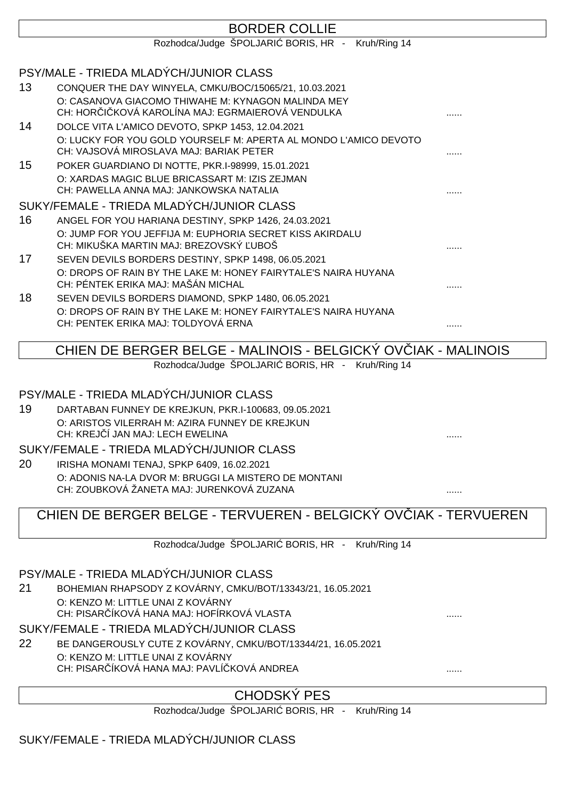|    | <b>BORDER COLLIE</b>                                                                                        |   |
|----|-------------------------------------------------------------------------------------------------------------|---|
|    | Rozhodca/Judge ŠPOLJARI BORIS, HR - Kruh/Ring 14                                                            |   |
|    |                                                                                                             |   |
|    | PSY/MALE - TRIEDA MLADÝCH/JUNIOR CLASS                                                                      |   |
| 13 | CONQUER THE DAY WINYELA, CMKU/BOC/15065/21, 10.03.2021                                                      |   |
|    | O: CASANOVA GIACOMO THIWAHE M: KYNAGON MALINDA MEY<br>CH: HOR I KOVÁ KAROLÍNA MAJ: EGRMAJEROVÁ VENDULKA     |   |
| 14 | DOLCE VITA L'AMICO DEVOTO, SPKP 1453, 12.04.2021                                                            |   |
|    | O: LUCKY FOR YOU GOLD YOURSELF M: APERTA AL MONDO L'AMICO DEVOTO<br>CH: VAJSOVÁ MIROSLAVA MAJ: BARIAK PETER |   |
| 15 | POKER GUARDIANO DI NOTTE, PKR.I-98999, 15.01.2021                                                           |   |
|    | O: XARDAS MAGIC BLUE BRICASSART M: IZIS ZEJMAN<br>CH: PAWELLA ANNA MAJ: JANKOWSKA NATALIA                   |   |
|    | SUKY/FEMALE - TRIEDA MLADÝCH/JUNIOR CLASS                                                                   |   |
| 16 | ANGEL FOR YOU HARIANA DESTINY, SPKP 1426, 24.03.2021                                                        |   |
|    | O: JUMP FOR YOU JEFFIJA M: EUPHORIA SECRET KISS AKIRDALU<br>CH: MIKUŠKA MARTIN MAJ: BREZOVSKÝ UBOŠ          |   |
| 17 | SEVEN DEVILS BORDERS DESTINY, SPKP 1498, 06.05.2021                                                         |   |
|    | O: DROPS OF RAIN BY THE LAKE M: HONEY FAIRYTALE'S NAIRA HUYANA<br>CH: PÉNTEK ERIKA MAJ: MAŠÁN MICHAL        |   |
| 18 | SEVEN DEVILS BORDERS DIAMOND, SPKP 1480, 06.05.2021                                                         |   |
|    | O: DROPS OF RAIN BY THE LAKE M: HONEY FAIRYTALE'S NAIRA HUYANA<br>CH: PENTEK ERIKA MAJ: TOLDYOVÁ ERNA       | . |

# CHIEN DE BERGER BELGE - MALINOIS - BELGICKÝ OVČIAK - MALINOIS

Rozhodca/Judge ŠPOLJARI BORIS, HR - Kruh/Ring 14

#### PSY/MALE - TRIEDA MLADÝCH/JUNIOR CLASS

19 DARTABAN FUNNEY DE KREJKUN, PKR.I-100683, 09.05.2021 O: ARISTOS VILERRAH M: AZIRA FUNNEY DE KREJKUN CH: KREJ Í JAN MAJ: LECH EWELINA

#### SUKY/FEMALE - TRIEDA MLADÝCH/JUNIOR CLASS

20 IRISHA MONAMI TENAJ, SPKP 6409, 16.02.2021 O: ADONIS NA-LA DVOR M: BRUGGI LA MISTERO DE MONTANI CH: ZOUBKOVÁ ŽANETA MAJ: JURENKOVÁ ZUZANA ......

# CHIEN DE BERGER BELGE - TERVUEREN - BELGICKÝ OVČIAK - TERVUEREN

Rozhodca/Judge ŠPOLJARI BORIS, HR - Kruh/Ring 14

### PSY/MALE - TRIEDA MLADÝCH/JUNIOR CLASS

21 BOHEMIAN RHAPSODY Z KOVÁRNY, CMKU/BOT/13343/21, 16.05.2021 O: KENZO M: LITTLE UNAI Z KOVÁRNY CH: PISAR ÍKOVÁ HANA MAJ: HOFÍRKOVÁ VLASTA

# SUKY/FEMALE - TRIEDA MLADÝCH/JUNIOR CLASS

22 BE DANGEROUSLY CUTE Z KOVÁRNY, CMKU/BOT/13344/21, 16.05.2021 O: KENZO M: LITTLE UNAI Z KOVÁRNY CH: PISAR ÍKOVÁ HANA MAJ: PAVLÍ KOVÁ ANDREA

# CHODSKÝ PES

Rozhodca/Judge ŠPOLJARI BORIS, HR - Kruh/Ring 14

# SUKY/FEMALE - TRIEDA MLADÝCH/JUNIOR CLASS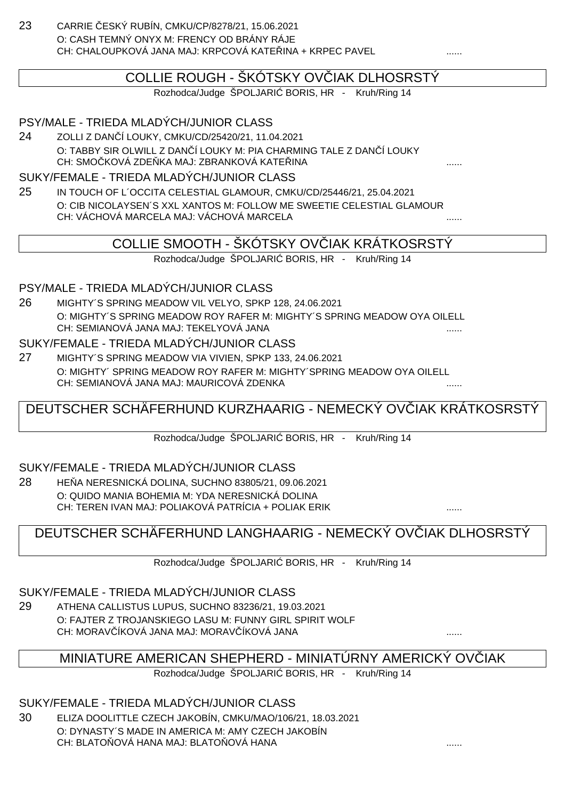23 CARRIE ČESKÝ RUBÍN, CMKU/CP/8278/21, 15.06.2021 O: CASH TEMNÝ ONYX M: FRENCY OD BRÁNY RÁJE CH: CHALOUPKOVÁ JANA MAJ: KRPCOVÁ KATE ... INA + KRPEC PAVEL

## COLLIE ROUGH - ŠKÓTSKY OV JAK DLHOSRSTÝ

Rozhodca/Judge ŠPOLJARI BORIS, HR - Kruh/Ring 14

#### PSY/MALE - TRIEDA MLADÝCH/JUNIOR CLASS

24 ZOLLI Z DANČÍ LOUKY, CMKU/CD/25420/21, 11.04.2021 O: TABBY SIR OLWILL Z DAN Í LOUKY M: PIA CHARMING TALE Z DAN Í LOUKY CH: SMOČKOVÁ ZDEŇKA MAJ: ZBRANKOVÁ KATEŘINA ......

#### SUKY/FEMALE - TRIEDA MLADÝCH/JUNIOR CLASS

25 IN TOUCH OF L´OCCITA CELESTIAL GLAMOUR, CMKU/CD/25446/21, 25.04.2021 O: CIB NICOLAYSEN´S XXL XANTOS M: FOLLOW ME SWEETIE CELESTIAL GLAMOUR CH: VÁCHOVÁ MARCELA MAJ: VÁCHOVÁ MARCELA

## COLLIE SMOOTH - ŠKÓTSKY OV IAK KRÁTKOSRSTÝ

Rozhodca/Judge ŠPOLJARI BORIS, HR - Kruh/Ring 14

#### PSY/MALE - TRIEDA MLADÝCH/JUNIOR CLASS

26 MIGHTY´S SPRING MEADOW VIL VELYO, SPKP 128, 24.06.2021 O: MIGHTY´S SPRING MEADOW ROY RAFER M: MIGHTY´S SPRING MEADOW OYA OILELL CH: SEMIANOVÁ JANA MAJ: TEKELYOVÁ JANA

#### SUKY/FEMALE - TRIEDA MLADÝCH/JUNIOR CLASS

27 MIGHTY´S SPRING MEADOW VIA VIVIEN, SPKP 133, 24.06.2021 O: MIGHTY´ SPRING MEADOW ROY RAFER M: MIGHTY´SPRING MEADOW OYA OILELL CH: SEMIANOVÁ JANA MAJ: MAURICOVÁ ZDENKA ......

# DEUTSCHER SCHÄFERHUND KURZHAARIG - NEMECKÝ OV<sub>L</sub>IAK KRÁTKOSRSTÝ

Rozhodca/Judge ŠPOLJARI BORIS, HR - Kruh/Ring 14

#### SUKY/FEMALE - TRIEDA MLADÝCH/JUNIOR CLASS

28 HE A NERESNICKÁ DOLINA, SUCHNO 83805/21, 09.06.2021 O: QUIDO MANIA BOHEMIA M: YDA NERESNICKÁ DOLINA CH: TEREN IVAN MAJ: POLIAKOVÁ PATRÍCIA + POLIAK ERIK ......

### DEUTSCHER SCHÄFERHUND LANGHAARIG - NEMECKÝ OVČIAK DLHOSRSTÝ

Rozhodca/Judge ŠPOLJARI BORIS, HR - Kruh/Ring 14

SUKY/FEMALE - TRIEDA MLADÝCH/JUNIOR CLASS

29 ATHENA CALLISTUS LUPUS, SUCHNO 83236/21, 19.03.2021 O: FAJTER Z TROJANSKIEGO LASU M: FUNNY GIRL SPIRIT WOLF CH: MORAVIÍKOVÁ JANA MAJ: MORAVIÍKOVÁ JANA

### MINIATURE AMERICAN SHEPHERD - MINIATÚRNY AMERICKÝ OVČIAK

Rozhodca/Judge ŠPOLJARI BORIS, HR - Kruh/Ring 14

SUKY/FEMALE - TRIEDA MLADÝCH/JUNIOR CLASS

30 ELIZA DOOLITTLE CZECH JAKOBÍN, CMKU/MAO/106/21, 18.03.2021 O: DYNASTY´S MADE IN AMERICA M: AMY CZECH JAKOBÍN CH: BLATOŇOVÁ HANA MAJ: BLATOŇOVÁ HANA ......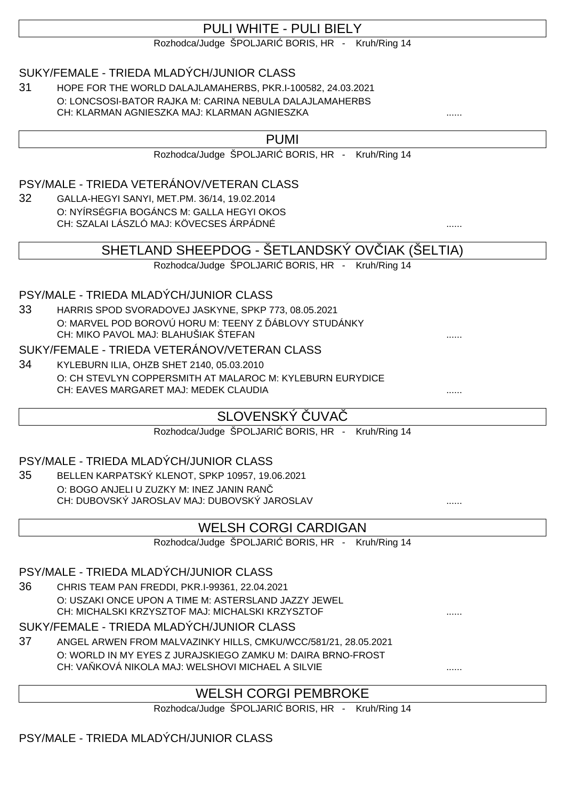# PULI WHITE - PULI BIFLY

Rozhodca/Judge ŠPOLJARI BORIS, HR - Kruh/Ring 14

### SUKY/FEMALE - TRIEDA MLADÝCH/JUNIOR CLASS

31 HOPE FOR THE WORLD DALAJLAMAHERBS, PKR.I-100582, 24.03.2021 O: LONCSOSI-BATOR RAJKA M: CARINA NEBULA DALAJLAMAHERBS CH: KLARMAN AGNIESZKA MAJ: KLARMAN AGNIESZKA

#### PUMI

Rozhodca/Judge ŠPOLJARI BORIS, HR - Kruh/Ring 14

#### PSY/MALE - TRIEDA VETERÁNOV/VETERAN CLASS

32 GALLA-HEGYI SANYI, MET.PM. 36/14, 19.02.2014 O: NYÍRSÉGFIA BOGÁNCS M: GALLA HEGYI OKOS CH: SZALAI LÁSZLÓ MAJ: KÖVECSES ÁRPÁDNÉ ......

### SHETLAND SHEEPDOG - ŠETLANDSKÝ OVIJAK (ŠELTIA)

Rozhodca/Judge ŠPOLJARI BORIS, HR - Kruh/Ring 14

#### PSY/MALE - TRIEDA MLADÝCH/JUNIOR CLASS

33 HARRIS SPOD SVORADOVEJ JASKYNE, SPKP 773, 08.05.2021 O: MARVEL POD BOROVÚ HORU M: TEENY Z ÁBLOVY STUDÁNKY CH: MIKO PAVOL MAJ: BLAHUŠIAK ŠTEFAN

#### SUKY/FEMALE - TRIEDA VETERÁNOV/VETERAN CLASS

34 KYLEBURN ILIA, OHZB SHET 2140, 05.03.2010 O: CH STEVLYN COPPERSMITH AT MALAROC M: KYLEBURN EURYDICE CH: EAVES MARGARET MAJ: MEDEK CLAUDIA

# SLOVENSKÝ UVA

Rozhodca/Judge ŠPOLJARI BORIS, HR - Kruh/Ring 14

#### PSY/MALE - TRIEDA MLADÝCH/JUNIOR CLASS

35 BELLEN KARPATSKÝ KLENOT, SPKP 10957, 19.06.2021 O: BOGO ANJELI U ZUZKY M: INEZ JANIN RANČ CH: DUBOVSKÝ JAROSLAV MAJ: DUBOVSKÝ JAROSLAV

### WELSH CORGI CARDIGAN

Rozhodca/Judge ŠPOLJARI BORIS, HR - Kruh/Ring 14

### PSY/MALE - TRIEDA MLADÝCH/JUNIOR CLASS

36 CHRIS TEAM PAN FREDDI, PKR.I-99361, 22.04.2021 O: USZAKI ONCE UPON A TIME M: ASTERSLAND JAZZY JEWEL CH: MICHALSKI KRZYSZTOF MAJ: MICHALSKI KRZYSZTOF

### SUKY/FEMALE - TRIEDA MLADÝCH/JUNIOR CLASS

37 ANGEL ARWEN FROM MALVAZINKY HILLS, CMKU/WCC/581/21, 28.05.2021 O: WORLD IN MY EYES Z JURAJSKIEGO ZAMKU M: DAIRA BRNO-FROST CH: VA KOVÁ NIKOLA MAJ: WELSHOVI MICHAEL A SILVIE

# WELSH CORGI PEMBROKE

Rozhodca/Judge ŠPOLJARI BORIS, HR - Kruh/Ring 14

### PSY/MALE - TRIEDA MLADÝCH/JUNIOR CLASS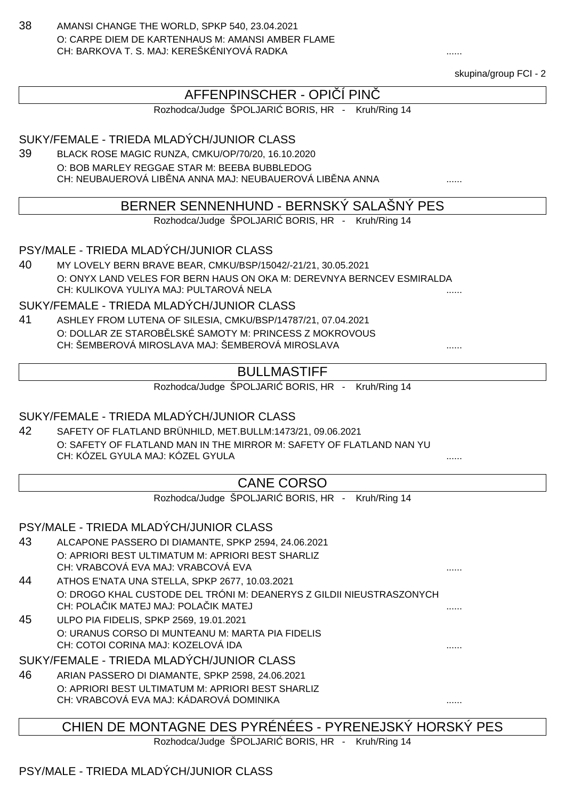38 AMANSI CHANGE THE WORLD, SPKP 540, 23.04.2021 O: CARPE DIEM DE KARTENHAUS M: AMANSI AMBER FLAME CH: BARKOVA T. S. MAJ: KEREŠKÉNIYOVÁ RADKA

skupina/group FCI - 2

## AFFENPINSCHER - OPI Í PIN

Rozhodca/Judge ŠPOLJARI BORIS, HR - Kruh/Ring 14

SUKY/FEMALE - TRIEDA MLADÝCH/JUNIOR CLASS

39 BLACK ROSE MAGIC RUNZA, CMKU/OP/70/20, 16.10.2020 O: BOB MARLEY REGGAE STAR M: BEEBA BUBBLEDOG CH: NEUBAUEROVÁ LIBINA ANNA MAJ: NEUBAUEROVÁ LIBINA ANNA

#### BERNER SENNENHUND - BERNSKÝ SALAŠNÝ PES

Rozhodca/Judge ŠPOLJARI BORIS, HR - Kruh/Ring 14

PSY/MALE - TRIEDA MLADÝCH/JUNIOR CLASS

40 MY LOVELY BERN BRAVE BEAR, CMKU/BSP/15042/-21/21, 30.05.2021 O: ONYX LAND VELES FOR BERN HAUS ON OKA M: DEREVNYA BERNCEV ESMIRALDA CH: KULIKOVA YULIYA MAJ: PULTAROVÁ NELA

SUKY/FEMALE - TRIEDA MLADÝCH/JUNIOR CLASS

41 ASHLEY FROM LUTENA OF SILESIA, CMKU/BSP/14787/21, 07.04.2021 O: DOLLAR ZE STAROB LSKÉ SAMOTY M: PRINCESS Z MOKROVOUS CH: ŠEMBEROVÁ MIROSLAVA MAJ: ŠEMBEROVÁ MIROSLAVA ......

### BULLMASTIFF

Rozhodca/Judge ŠPOLJARI BORIS, HR - Kruh/Ring 14

#### SUKY/FEMALE - TRIEDA MLADÝCH/JUNIOR CLASS

42 SAFETY OF FLATLAND BRÜNHILD, MET.BULLM:1473/21, 09.06.2021 O: SAFETY OF FLATLAND MAN IN THE MIRROR M: SAFETY OF FLATLAND NAN YU CH: KÓZEL GYULA MAJ: KÓZEL GYULA

### CANE CORSO

Rozhodca/Judge ŠPOLJARI BORIS, HR - Kruh/Ring 14

#### PSY/MALE - TRIEDA MLADÝCH/JUNIOR CLASS

- 43 ALCAPONE PASSERO DI DIAMANTE, SPKP 2594, 24.06.2021 O: APRIORI BEST ULTIMATUM M: APRIORI BEST SHARLIZ CH: VRABCOVÁ EVA MAJ: VRABCOVÁ EVA ......
- 44 ATHOS E'NATA UNA STELLA, SPKP 2677, 10.03.2021 O: DROGO KHAL CUSTODE DEL TRÓNI M: DEANERYS Z GILDII NIEUSTRASZONYCH CH: POLA IK MATEJ MAJ: POLA IK MATEJ **And a material contract and a material contract of the contract of the contract of the contract of the contract of the contract of the contract of the contract of the contract of the c**
- 45 ULPO PIA FIDELIS, SPKP 2569, 19.01.2021 O: URANUS CORSO DI MUNTEANU M: MARTA PIA FIDELIS CH: COTOI CORINA MAJ: KOZELOVÁ IDA

SUKY/FEMALE - TRIEDA MLADÝCH/JUNIOR CLASS

46 ARIAN PASSERO DI DIAMANTE, SPKP 2598, 24.06.2021 O: APRIORI BEST ULTIMATUM M: APRIORI BEST SHARLIZ CH: VRABCOVÁ EVA MAJ: KÁDAROVÁ DOMINIKA ......

### CHIEN DE MONTAGNE DES PYRÉNÉES - PYRENEJSKÝ HORSKÝ PES

Rozhodca/Judge ŠPOLJARI BORIS, HR - Kruh/Ring 14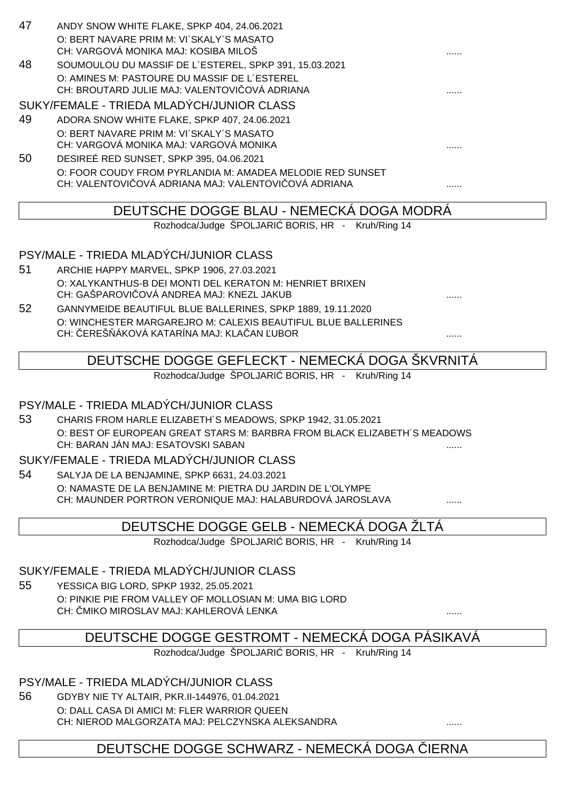| 47 | ANDY SNOW WHITE FLAKE, SPKP 404, 24.06.2021                                                            |   |
|----|--------------------------------------------------------------------------------------------------------|---|
|    | O: BERT NAVARE PRIM M: VI`SKALY`S MASATO                                                               |   |
|    | CH: VARGOVÁ MONIKA MAJ: KOSIBA MILOŠ                                                                   |   |
| 48 | SOUMOULOU DU MASSIF DE L'ESTEREL, SPKP 391, 15.03.2021                                                 |   |
|    | O: AMINES M: PASTOURE DU MASSIF DE L'ESTEREL                                                           |   |
|    | CH: BROUTARD JULIE MAJ: VALENTOVI OVÁ ADRIANA                                                          |   |
|    | SUKY/FEMALE - TRIEDA MLADÝCH/JUNIOR CLASS                                                              |   |
| 49 | ADORA SNOW WHITE FLAKE, SPKP 407, 24.06.2021                                                           |   |
|    | O: BERT NAVARE PRIM M: VI'SKALY'S MASATO                                                               |   |
|    | CH: VARGOVÁ MONIKA MAJ: VARGOVÁ MONIKA                                                                 |   |
| 50 | DESIREÉ RED SUNSET, SPKP 395, 04.06.2021                                                               |   |
|    | O: FOOR COUDY FROM PYRLANDIA M: AMADEA MELODIE RED SUNSET                                              |   |
|    | CH: VALENTOVI OVÁ ADRIANA MAJ: VALENTOVI OVÁ ADRIANA                                                   |   |
|    |                                                                                                        |   |
|    | DEUTSCHE DOGGE BLAU - NEMECKÁ DOGA MODRÁ                                                               |   |
|    |                                                                                                        |   |
|    | Rozhodca/Judge ŠPOLJARI BORIS, HR - Kruh/Ring 14                                                       |   |
|    |                                                                                                        |   |
|    | PSY/MALE - TRIEDA MLADÝCH/JUNIOR CLASS                                                                 |   |
| 51 | ARCHIE HAPPY MARVEL, SPKP 1906, 27.03.2021                                                             |   |
|    | O: XALYKANTHUS-B DEI MONTI DEL KERATON M: HENRIET BRIXEN                                               |   |
|    | CH: GAŠPAROVI OVÁ ANDREA MAJ: KNEZL JAKUB                                                              |   |
| 52 | GANNYMEIDE BEAUTIFUL BLUE BALLERINES, SPKP 1889, 19.11.2020                                            |   |
|    | O: WINCHESTER MARGAREJRO M: CALEXIS BEAUTIFUL BLUE BALLERINES                                          |   |
|    | CH: EREŠ ÁKOVÁ KATARÍNA MAJ: KLA AN UBOR                                                               | . |
|    |                                                                                                        |   |
|    | DEUTSCHE DOGGE GEFLECKT - NEMECKÁ DOGA ŠKVRNITÁ                                                        |   |
|    | Rozhodca/Judge ŠPOLJARI BORIS, HR - Kruh/Ring 14                                                       |   |
|    |                                                                                                        |   |
| 53 | PSY/MALE - TRIEDA MLADÝCH/JUNIOR CLASS<br>CHARIS FROM HARLE ELIZABETH'S MEADOWS, SPKP 1942, 31.05.2021 |   |

O: BEST OF EUROPEAN GREAT STARS M: BARBRA FROM BLACK ELIZABETH´S MEADOWS CH: BARAN JÁN MAJ: ESATOVSKI SABAN

SUKY/FEMALE - TRIEDA MLADÝCH/JUNIOR CLASS

54 SALYJA DE LA BENJAMINE, SPKP 6631, 24.03.2021 O: NAMASTE DE LA BENJAMINE M: PIETRA DU JARDIN DE L'OLYMPE CH: MAUNDER PORTRON VERONIQUE MAJ: HALABURDOVÁ JAROSLAVA ......

# DEUTSCHE DOGGE GELB - NEMECKÁ DOGA ŽLTÁ

Rozhodca/Judge ŠPOLJARI BORIS, HR - Kruh/Ring 14

#### SUKY/FEMALE - TRIEDA MLADÝCH/JUNIOR CLASS

55 YESSICA BIG LORD, SPKP 1932, 25.05.2021 O: PINKIE PIE FROM VALLEY OF MOLLOSIAN M: UMA BIG LORD CH: MIKO MIROSLAV MAJ: KAHLEROVÁ LENKA

# DEUTSCHE DOGGE GESTROMT - NEMECKÁ DOGA PÁSIKAVÁ

Rozhodca/Judge ŠPOLJARI BORIS, HR - Kruh/Ring 14

### PSY/MALE - TRIEDA MLADÝCH/JUNIOR CLASS

56 GDYBY NIE TY ALTAIR, PKR.II-144976, 01.04.2021

O: DALL CASA DI AMICI M: FLER WARRIOR QUEEN CH: NIEROD MALGORZATA MAJ: PELCZYNSKA ALEKSANDRA ......

### DEUTSCHE DOGGE SCHWARZ - NEMECKÁ DOGA LERNA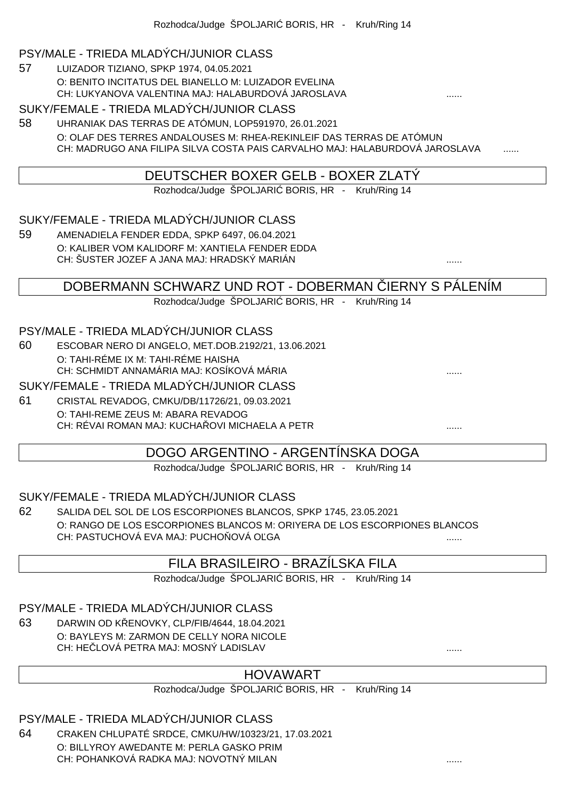#### PSY/MALE - TRIEDA MLADÝCH/JUNIOR CLASS

57 LUIZADOR TIZIANO, SPKP 1974, 04.05.2021 O: BENITO INCITATUS DEL BIANELLO M: LUIZADOR EVELINA CH: LUKYANOVA VALENTINA MAJ: HALABURDOVÁ JAROSLAVA ......

#### SUKY/FEMALE - TRIEDA MLADÝCH/JUNIOR CLASS

58 UHRANIAK DAS TERRAS DE ATÓMUN, LOP591970, 26.01.2021 O: OLAF DES TERRES ANDALOUSES M: RHEA-REKINLEIF DAS TERRAS DE ATÓMUN CH: MADRUGO ANA FILIPA SILVA COSTA PAIS CARVALHO MAJ: HALABURDOVÁ JAROSLAVA

### DEUTSCHER BOXER GELB - BOXER ZLATÝ

Rozhodca/Judge ŠPOLJARI BORIS, HR - Kruh/Ring 14

#### SUKY/FEMALE - TRIEDA MLADÝCH/JUNIOR CLASS

59 AMENADIELA FENDER EDDA, SPKP 6497, 06.04.2021 O: KALIBER VOM KALIDORF M: XANTIELA FENDER EDDA CH: ŠUSTER JOZEF A JANA MAJ: HRADSKÝ MARIÁN ......

DOBERMANN SCHWARZ UND ROT - DOBERMAN IERNY S PÁLENÍM

Rozhodca/Judge ŠPOLJARI BORIS, HR - Kruh/Ring 14

#### PSY/MALE - TRIEDA MLADÝCH/JUNIOR CLASS

60 ESCOBAR NERO DI ANGELO, MET.DOB.2192/21, 13.06.2021 O: TAHI-RÉME IX M: TAHI-RÉME HAISHA CH: SCHMIDT ANNAMÁRIA MAJ: KOSÍKOVÁ MÁRIA

SUKY/FEMALE - TRIEDA MLADÝCH/JUNIOR CLASS

61 CRISTAL REVADOG, CMKU/DB/11726/21, 09.03.2021 O: TAHI-REME ZEUS M: ABARA REVADOG CH: RÉVAI ROMAN MAJ: KUCHAŘOVI MICHAELA A PETR ......

### DOGO ARGENTINO - ARGENTÍNSKA DOGA

Rozhodca/Judge ŠPOLJARI BORIS, HR - Kruh/Ring 14

#### SUKY/FEMALE - TRIEDA MLADÝCH/JUNIOR CLASS

62 SALIDA DEL SOL DE LOS ESCORPIONES BLANCOS, SPKP 1745, 23.05.2021 O: RANGO DE LOS ESCORPIONES BLANCOS M: ORIYERA DE LOS ESCORPIONES BLANCOS CH: PASTUCHOVÁ EVA MAJ: PUCHO OVÁ O GA

### FILA BRASILEIRO - BRAZÍLSKA FILA

Rozhodca/Judge ŠPOLJARI BORIS, HR - Kruh/Ring 14

#### PSY/MALE - TRIEDA MLADÝCH/JUNIOR CLASS

63 DARWIN OD K ENOVKY, CLP/FIB/4644, 18.04.2021 O: BAYLEYS M: ZARMON DE CELLY NORA NICOLE CH: HE LOVÁ PETRA MAJ: MOSNÝ LADISLAV

### HOVAWART

Rozhodca/Judge ŠPOLJARI BORIS, HR - Kruh/Ring 14

PSY/MALE - TRIEDA MLADÝCH/JUNIOR CLASS

64 CRAKEN CHLUPATÉ SRDCE, CMKU/HW/10323/21, 17.03.2021 O: BILLYROY AWEDANTE M: PERLA GASKO PRIM CH: POHANKOVÁ RADKA MAJ: NOVOTNÝ MILAN ......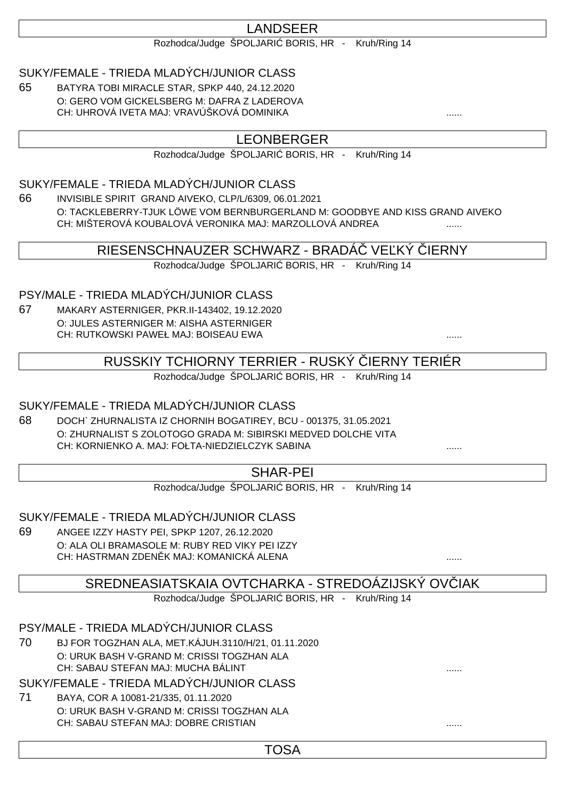# LANDSEER

Rozhodca/Judge ŠPOLJARI BORIS, HR - Kruh/Ring 14

### SUKY/FEMALE - TRIEDA MLADÝCH/JUNIOR CLASS

65 BATYRA TOBI MIRACLE STAR, SPKP 440, 24.12.2020 O: GERO VOM GICKELSBERG M: DAFRA Z LADEROVA CH: UHROVÁ IVETA MAJ: VRAVÚŠKOVÁ DOMINIKA

### LEONBERGER

Rozhodca/Judge ŠPOLJARI BORIS, HR - Kruh/Ring 14

### SUKY/FEMALE - TRIEDA MLADÝCH/JUNIOR CLASS

66 INVISIBLE SPIRIT GRAND AIVEKO, CLP/L/6309, 06.01.2021 O: TACKLEBERRY-TJUK LÖWE VOM BERNBURGERLAND M: GOODBYE AND KISS GRAND AIVEKO CH: MIŠTEROVÁ KOUBALOVÁ VERONIKA MAJ: MARZOLLOVÁ ANDREA ......

### RIESENSCHNAUZER SCHWARZ - BRADÁ VE KÝ JERNY

Rozhodca/Judge ŠPOLJARI BORIS, HR - Kruh/Ring 14

PSY/MALE - TRIEDA MLADÝCH/JUNIOR CLASS

67 MAKARY ASTERNIGER, PKR.II-143402, 19.12.2020 O: JULES ASTERNIGER M: AISHA ASTERNIGER CH: RUTKOWSKI PAWEŁ MAJ: BOISEAU EWA ......

RUSSKIY TCHIORNY TERRIER - RUSKÝ ČIERNY TERIÉR

Rozhodca/Judge ŠPOLJARI BORIS, HR - Kruh/Ring 14

### SUKY/FEMALE - TRIEDA MLADÝCH/JUNIOR CLASS

68 DOCH` ZHURNALISTA IZ CHORNIH BOGATIREY, BCU - 001375, 31.05.2021 O: ZHURNALIST S ZOLOTOGO GRADA M: SIBIRSKI MEDVED DOLCHE VITA CH: KORNIENKO A. MAJ: FOŁTA-NIEDZIELCZYK SABINA

### SHAR-PEI

Rozhodca/Judge ŠPOLJARI BORIS, HR - Kruh/Ring 14

SUKY/FEMALE - TRIEDA MLADÝCH/JUNIOR CLASS

69 ANGEE IZZY HASTY PEI, SPKP 1207, 26.12.2020 O: ALA OLI BRAMASOLE M: RUBY RED VIKY PEI IZZY CH: HASTRMAN ZDENĚK MAJ: KOMANICKÁ ALENA ......

SREDNEASIATSKAIA OVTCHARKA - STREDOÁZIJSKÝ OVÍJAK

Rozhodca/Judge ŠPOLJARI BORIS, HR - Kruh/Ring 14

PSY/MALE - TRIEDA MLADÝCH/JUNIOR CLASS

70 BJ FOR TOGZHAN ALA, MET.KÁJUH.3110/H/21, 01.11.2020 O: URUK BASH V-GRAND M: CRISSI TOGZHAN ALA CH: SABAU STEFAN MAJ: MUCHA BÁLINT ......

SUKY/FEMALE - TRIEDA MLADÝCH/JUNIOR CLASS

71 BAYA, COR A 10081-21/335, 01.11.2020 O: URUK BASH V-GRAND M: CRISSI TOGZHAN ALA CH: SABAU STEFAN MAJ: DOBRE CRISTIAN ......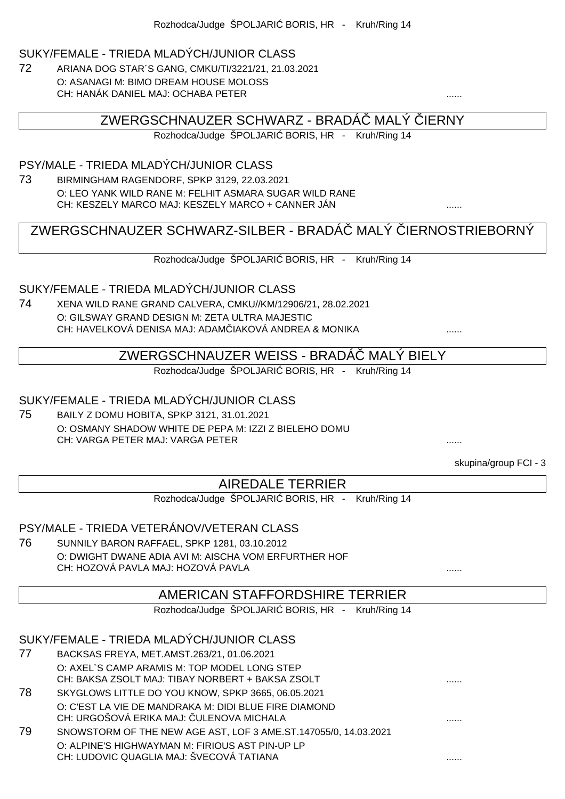#### SUKY/FEMALE - TRIEDA MLADÝCH/JUNIOR CLASS

72 ARIANA DOG STAR´S GANG, CMKU/TI/3221/21, 21.03.2021 O: ASANAGI M: BIMO DREAM HOUSE MOLOSS CH: HANÁK DANIEL MAJ: OCHABA PETER

#### ZWERGSCHNAUZER SCHWARZ - BRADÁ MALÝ JERNY

Rozhodca/Judge ŠPOLJARI BORIS, HR - Kruh/Ring 14

#### PSY/MALE - TRIEDA MLADÝCH/JUNIOR CLASS

73 BIRMINGHAM RAGENDORF, SPKP 3129, 22.03.2021 O: LEO YANK WILD RANE M: FELHIT ASMARA SUGAR WILD RANE CH: KESZELY MARCO MAJ: KESZELY MARCO + CANNER JÁN ......

# ZWERGSCHNAUZER SCHWARZ-SILBER - BRADÁ MALÝ JERNOSTRIEBORNÝ

Rozhodca/Judge ŠPOLJARI BORIS, HR - Kruh/Ring 14

#### SUKY/FEMALE - TRIEDA MLADÝCH/JUNIOR CLASS

74 XENA WILD RANE GRAND CALVERA, CMKU//KM/12906/21, 28.02.2021 O: GILSWAY GRAND DESIGN M: ZETA ULTRA MAJESTIC CH: HAVELKOVÁ DENISA MAJ: ADAMČIAKOVÁ ANDREA & MONIKA ......

# ZWERGSCHNAUZER WEISS - BRADÁČ MALÝ BIELY

Rozhodca/Judge ŠPOLJARI BORIS, HR - Kruh/Ring 14

#### SUKY/FEMALE - TRIEDA MLADÝCH/JUNIOR CLASS

75 BAILY Z DOMU HOBITA, SPKP 3121, 31.01.2021 O: OSMANY SHADOW WHITE DE PEPA M: IZZI Z BIELEHO DOMU CH: VARGA PETER MAJ: VARGA PETER ......

skupina/group FCI - 3

### AIREDALE TERRIER

Rozhodca/Judge ŠPOLJARI BORIS, HR - Kruh/Ring 14

### PSY/MALE - TRIEDA VETERÁNOV/VETERAN CLASS

76 SUNNILY BARON RAFFAEL, SPKP 1281, 03.10.2012 O: DWIGHT DWANE ADIA AVI M: AISCHA VOM ERFURTHER HOF CH: HOZOVÁ PAVLA MAJ: HOZOVÁ PAVLA

### AMERICAN STAFFORDSHIRE TERRIER

Rozhodca/Judge ŠPOLJARI BORIS, HR - Kruh/Ring 14

#### SUKY/FEMALE - TRIEDA MLADÝCH/JUNIOR CLASS

- 77 BACKSAS FREYA, MET.AMST.263/21, 01.06.2021 O: AXEL`S CAMP ARAMIS M: TOP MODEL LONG STEP CH: BAKSA ZSOLT MAJ: TIBAY NORBERT + BAKSA ZSOLT
- 78 SKYGLOWS LITTLE DO YOU KNOW, SPKP 3665, 06.05.2021 O: C'EST LA VIE DE MANDRAKA M: DIDI BLUE FIRE DIAMOND CH: URGOŠOVÁ ERIKA MAJ: ČULENOVA MICHALA ......
- 79 SNOWSTORM OF THE NEW AGE AST, LOF 3 AME.ST.147055/0, 14.03.2021 O: ALPINE'S HIGHWAYMAN M: FIRIOUS AST PIN-UP LP CH: LUDOVIC QUAGLIA MAJ: ŠVECOVÁ TATIANA ......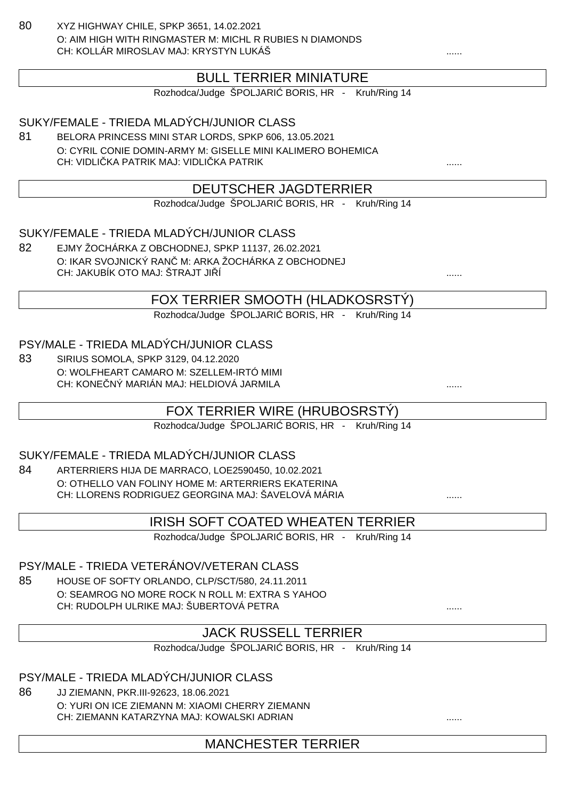80 XYZ HIGHWAY CHILE, SPKP 3651, 14.02.2021 O: AIM HIGH WITH RINGMASTER M: MICHL R RUBIES N DIAMONDS CH: KOLLÁR MIROSLAV MAJ: KRYSTYN LUKÁŠ

## BULL TERRIER MINIATURE

Rozhodca/Judge ŠPOLJARI BORIS, HR - Kruh/Ring 14

#### SUKY/FEMALE - TRIEDA MLADÝCH/JUNIOR CLASS

81 BELORA PRINCESS MINI STAR LORDS, SPKP 606, 13.05.2021 O: CYRIL CONIE DOMIN-ARMY M: GISELLE MINI KALIMERO BOHEMICA CH: VIDLIČKA PATRIK MAJ: VIDLIČKA PATRIK ......

### DEUTSCHER JAGDTERRIER

Rozhodca/Judge ŠPOLJARI BORIS, HR - Kruh/Ring 14

#### SUKY/FEMALE - TRIEDA MLADÝCH/JUNIOR CLASS

82 EJMY ŽOCHÁRKA Z OBCHODNEJ, SPKP 11137, 26.02.2021 O: IKAR SVOJNICKÝ RAN M: ARKA ŽOCHÁRKA Z OBCHODNEJ CH: JAKUBÍK OTO MAJ: ŠTRAJT JI Í

#### FOX TERRIER SMOOTH (HLADKOSRSTÝ)

Rozhodca/Judge ŠPOLJARI BORIS, HR - Kruh/Ring 14

#### PSY/MALE - TRIEDA MLADÝCH/JUNIOR CLASS

83 SIRIUS SOMOLA, SPKP 3129, 04.12.2020 O: WOLFHEART CAMARO M: SZELLEM-IRTÓ MIMI CH: KONE NÝ MARIÁN MAJ: HELDIOVÁ JARMILA

### FOX TERRIER WIRE (HRUBOSRSTÝ)

Rozhodca/Judge ŠPOLJARI BORIS, HR - Kruh/Ring 14

### SUKY/FEMALE - TRIEDA MLADÝCH/JUNIOR CLASS

84 ARTERRIERS HIJA DE MARRACO, LOE2590450, 10.02.2021 O: OTHELLO VAN FOLINY HOME M: ARTERRIERS EKATERINA CH: LLORENS RODRIGUEZ GEORGINA MAJ: ŠAVELOVÁ MÁRIA **.......** .......

### IRISH SOFT COATED WHEATEN TERRIER

Rozhodca/Judge ŠPOLJARI BORIS, HR - Kruh/Ring 14

### PSY/MALE - TRIEDA VETERÁNOV/VETERAN CLASS

85 HOUSE OF SOFTY ORLANDO, CLP/SCT/580, 24.11.2011 O: SEAMROG NO MORE ROCK N ROLL M: EXTRA S YAHOO CH: RUDOLPH ULRIKE MAJ: ŠUBERTOVÁ PETRA ......

### JACK RUSSELL TERRIER

Rozhodca/Judge ŠPOLJARI BORIS, HR - Kruh/Ring 14

#### PSY/MALE - TRIEDA MLADÝCH/JUNIOR CLASS

86 JJ ZIEMANN, PKR.III-92623, 18.06.2021 O: YURI ON ICE ZIEMANN M: XIAOMI CHERRY ZIEMANN CH: ZIEMANN KATARZYNA MAJ: KOWALSKI ADRIAN

MANCHESTER TERRIER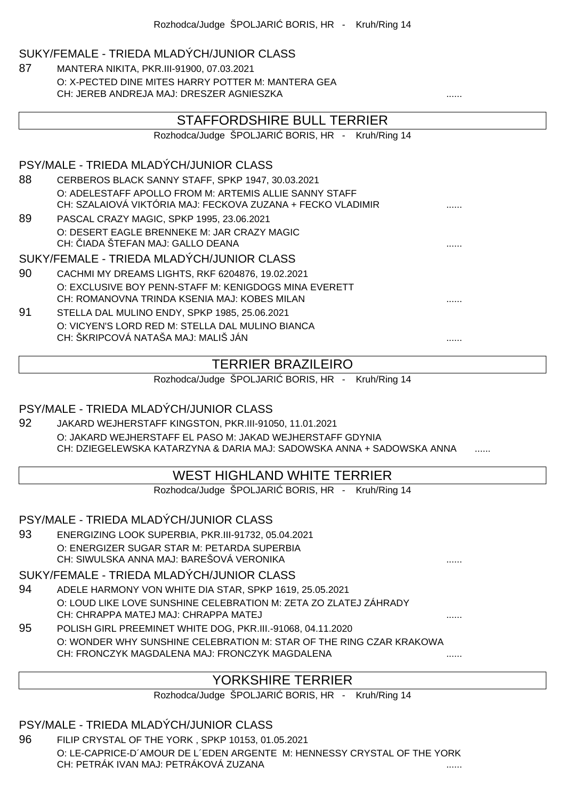#### SUKY/FEMALE - TRIEDA MLADÝCH/JUNIOR CLASS

87 MANTERA NIKITA, PKR.III-91900, 07.03.2021 O: X-PECTED DINE MITES HARRY POTTER M: MANTERA GEA CH: JEREB ANDREJA MAJ: DRESZER AGNIESZKA

|    | STAFFORDSHIRE BULL TERRIER                                            |  |
|----|-----------------------------------------------------------------------|--|
|    | Rozhodca/Judge ŠPOLJARI BORIS, HR - Kruh/Ring 14                      |  |
|    | PSY/MALE - TRIEDA MLADÝCH/JUNIOR CLASS                                |  |
| 88 | CERBEROS BLACK SANNY STAFF, SPKP 1947, 30.03.2021                     |  |
|    | O: ADELESTAFF APOLLO FROM M: ARTEMIS ALLIE SANNY STAFF                |  |
|    | CH: SZALAIOVÁ VIKTÓRIA MAJ: FECKOVA ZUZANA + FECKO VLADIMIR           |  |
| 89 | PASCAL CRAZY MAGIC, SPKP 1995, 23.06.2021                             |  |
|    | O: DESERT EAGLE BRENNEKE M: JAR CRAZY MAGIC                           |  |
|    | CH: IADA ŠTEFAN MAJ: GALLO DEANA                                      |  |
|    | SUKY/FEMALE - TRIEDA MLADÝCH/JUNIOR CLASS                             |  |
| 90 | CACHMI MY DREAMS LIGHTS, RKF 6204876, 19.02.2021                      |  |
|    | O: EXCLUSIVE BOY PENN-STAFF M: KENIGDOGS MINA EVERETT                 |  |
|    | CH: ROMANOVNA TRINDA KSENIA MAJ: KOBES MILAN                          |  |
| 91 | STELLA DAL MULINO ENDY, SPKP 1985, 25.06.2021                         |  |
|    | O: VICYEN'S LORD RED M: STELLA DAL MULINO BIANCA                      |  |
|    | CH: ŠKRIPCOVÁ NATAŠA MAJ: MALIŠ JÁN                                   |  |
|    |                                                                       |  |
|    | <b>TERRIER BRAZILEIRO</b>                                             |  |
|    | Rozhodca/Judge ŠPOLJARI BORIS, HR - Kruh/Ring 14                      |  |
|    | PSY/MALE - TRIEDA MLADÝCH/JUNIOR CLASS                                |  |
| 92 | JAKARD WEJHERSTAFF KINGSTON, PKR.III-91050, 11.01.2021                |  |
|    | O: JAKARD WEJHERSTAFF EL PASO M: JAKAD WEJHERSTAFF GDYNIA             |  |
|    | CH: DZIEGELEWSKA KATARZYNA & DARIA MAJ: SADOWSKA ANNA + SADOWSKA ANNA |  |
|    | MEST LICULAND MUITE TEDDIED                                           |  |

### WEST HIGHLAND WHITE TERRIER

Rozhodca/Judge ŠPOLJARI BORIS, HR - Kruh/Ring 14

PSY/MALE - TRIEDA MLADÝCH/JUNIOR CLASS

93 ENERGIZING LOOK SUPERBIA, PKR.III-91732, 05.04.2021 O: ENERGIZER SUGAR STAR M: PETARDA SUPERBIA CH: SIWULSKA ANNA MAJ: BAREŠOVÁ VERONIKA

#### SUKY/FEMALE - TRIEDA MLADÝCH/JUNIOR CLASS

- 94 ADELE HARMONY VON WHITE DIA STAR, SPKP 1619, 25.05.2021 O: LOUD LIKE LOVE SUNSHINE CELEBRATION M: ZETA ZO ZLATEJ ZÁHRADY CH: CHRAPPA MATEJ MAJ: CHRAPPA MATEJ ......
- 95 POLISH GIRL PREEMINET WHITE DOG, PKR.III.-91068, 04.11.2020 O: WONDER WHY SUNSHINE CELEBRATION M: STAR OF THE RING CZAR KRAKOWA CH: FRONCZYK MAGDALENA MAJ: FRONCZYK MAGDALENA

### YORKSHIRE TERRIER

Rozhodca/Judge ŠPOLJARI BORIS, HR - Kruh/Ring 14

#### PSY/MALE - TRIEDA MLADÝCH/JUNIOR CLASS

96 FILIP CRYSTAL OF THE YORK , SPKP 10153, 01.05.2021 O: LE-CAPRICE-D´AMOUR DE L´EDEN ARGENTE M: HENNESSY CRYSTAL OF THE YORK CH: PETRÁK IVAN MAJ: PETRÁKOVÁ ZUZANA ......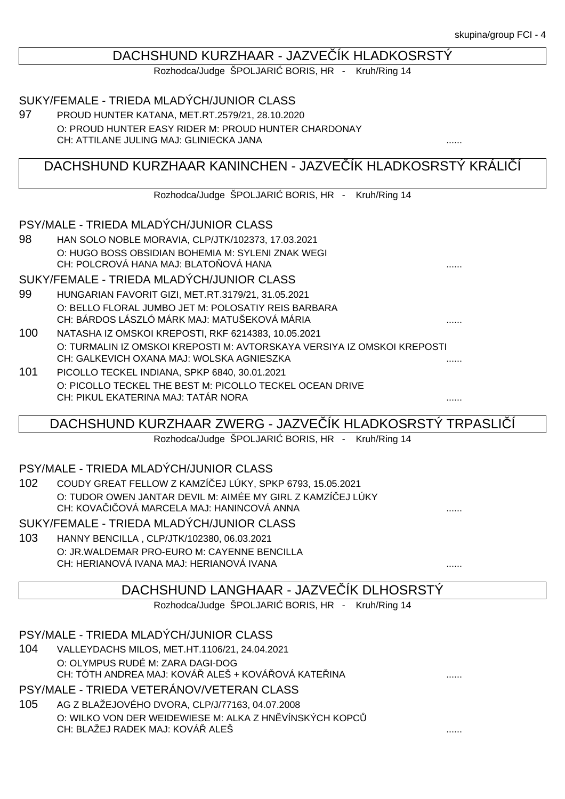#### DACHSHUND KURZHAAR - JAZVE ÍK HLADKOSRSTÝ

Rozhodca/Judge ŠPOLJARI BORIS, HR - Kruh/Ring 14

#### SUKY/FEMALE - TRIEDA MLADÝCH/JUNIOR CLASS

97 PROUD HUNTER KATANA, MET.RT.2579/21, 28.10.2020 O: PROUD HUNTER EASY RIDER M: PROUD HUNTER CHARDONAY CH: ATTILANE JULING MAJ: GLINIECKA JANA ......

### DACHSHUND KURZHAAR KANINCHEN - JAZVE ÍK HLADKOSRSTÝ KRÁLIÍ

Rozhodca/Judge ŠPOLJARI BORIS, HR - Kruh/Ring 14

#### PSY/MALE - TRIEDA MLADÝCH/JUNIOR CLASS

98 HAN SOLO NOBLE MORAVIA, CLP/JTK/102373, 17.03.2021 O: HUGO BOSS OBSIDIAN BOHEMIA M: SYLENI ZNAK WEGI CH: POLCROVÁ HANA MAJ: BLATO OVÁ HANA

SUKY/FEMALE - TRIEDA MLADÝCH/JUNIOR CLASS

- 99 HUNGARIAN FAVORIT GIZI, MET.RT.3179/21, 31.05.2021 O: BELLO FLORAL JUMBO JET M: POLOSATIY REIS BARBARA CH: BÁRDOS LÁSZLÓ MÁRK MAJ: MATUŠEKOVÁ MÁRIA ......
- 100 NATASHA IZ OMSKOI KREPOSTI, RKF 6214383, 10.05.2021 O: TURMALIN IZ OMSKOI KREPOSTI M: AVTORSKAYA VERSIYA IZ OMSKOI KREPOSTI CH: GALKEVICH OXANA MAJ: WOLSKA AGNIESZKA ......
- 101 PICOLLO TECKEL INDIANA, SPKP 6840, 30.01.2021 O: PICOLLO TECKEL THE BEST M: PICOLLO TECKEL OCEAN DRIVE CH: PIKUL EKATERINA MAJ: TATÁR NORA ......

DACHSHUND KURZHAAR ZWERG - JAZVE ÍK HLADKOSRSTÝ TRPASLIÍ

Rozhodca/Judge ŠPOLJARI BORIS, HR - Kruh/Ring 14

#### PSY/MALE - TRIEDA MLADÝCH/JUNIOR CLASS

102 COUDY GREAT FELLOW Z KAMZÍČEJ LÚKY, SPKP 6793, 15.05.2021 O: TUDOR OWEN JANTAR DEVIL M: AIMÉE MY GIRL Z KAMZÍ EJ LÚKY CH: KOVA I OVÁ MARCELA MAJ: HANINCOVÁ ANNA

SUKY/FEMALE - TRIEDA MLADÝCH/JUNIOR CLASS

103 HANNY BENCILLA , CLP/JTK/102380, 06.03.2021 O: JR.WALDEMAR PRO-EURO M: CAYENNE BENCILLA CH: HERIANOVÁ IVANA MAJ: HERIANOVÁ IVANA ......

### DACHSHUND LANGHAAR - JAZVE ÍK DLHOSRSTÝ

Rozhodca/Judge ŠPOLJARI BORIS, HR - Kruh/Ring 14

PSY/MALE - TRIEDA MLADÝCH/JUNIOR CLASS

104 VALLEYDACHS MILOS, MET.HT.1106/21, 24.04.2021 O: OLYMPUS RUDÉ M: ZARA DAGI-DOG CH: TÓTH ANDREA MAJ: KOVÁ ALEŠ + KOVÁ OVÁ KATE INA ..............................

#### PSY/MALE - TRIEDA VETERÁNOV/VETERAN CLASS

105 AG Z BLAŽEJOVÉHO DVORA, CLP/J/77163, 04.07.2008 O: WILKO VON DER WEIDEWIESE M: ALKA Z HN VÍNSKÝCH KOPC CH: BLAŽEJ RADEK MAJ: KOVÁŘ ALEŠ ......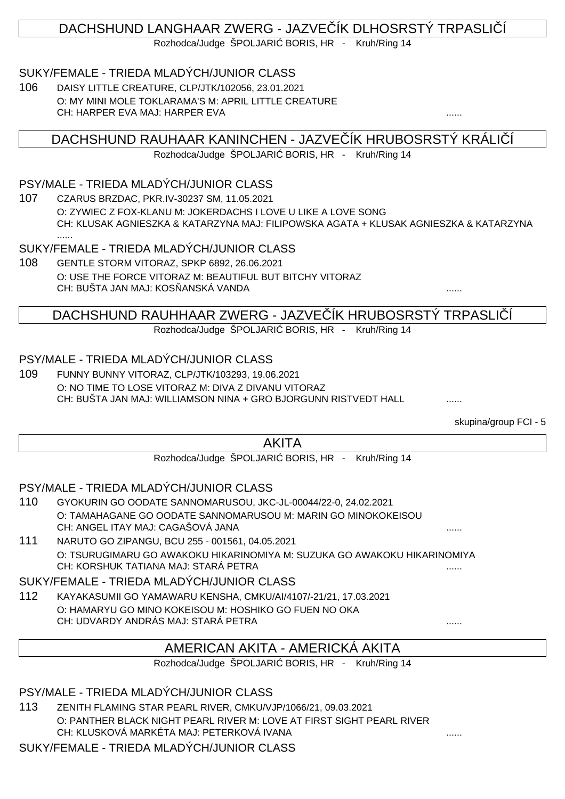# DACHSHUND LANGHAAR ZWERG - JAZVE ÍK DLHOSRSTÝ TRPASLIÍ

Rozhodca/Judge ŠPOLJARI BORIS, HR - Kruh/Ring 14

### SUKY/FEMALE - TRIEDA MLADÝCH/JUNIOR CLASS

106 DAISY LITTLE CREATURE, CLP/JTK/102056, 23.01.2021 O: MY MINI MOLE TOKLARAMA'S M: APRIL LITTLE CREATURE CH: HARPER EVA MAJ: HARPER EVA

DACHSHUND RAUHAAR KANINCHEN - JAZVE ÍK HRUBOSRSTÝ KRÁLI

Rozhodca/Judge ŠPOLJARI BORIS, HR - Kruh/Ring 14

### PSY/MALE - TRIEDA MLADÝCH/JUNIOR CLASS

107 CZARUS BRZDAC, PKR.IV-30237 SM, 11.05.2021 O: ZYWIEC Z FOX-KLANU M: JOKERDACHS I LOVE U LIKE A LOVE SONG CH: KLUSAK AGNIESZKA & KATARZYNA MAJ: FILIPOWSKA AGATA + KLUSAK AGNIESZKA & KATARZYNA ......

SUKY/FEMALE - TRIEDA MLADÝCH/JUNIOR CLASS

108 GENTLE STORM VITORAZ, SPKP 6892, 26.06.2021 O: USE THE FORCE VITORAZ M: BEAUTIFUL BUT BITCHY VITORAZ CH: BUŠTA JAN MAJ: KOSŇANSKÁ VANDA ......

### DACHSHUND RAUHHAAR ZWERG - JAZVE ÍK HRUBOSRSTÝ TRPASLI Í

Rozhodca/Judge ŠPOLJARI BORIS, HR - Kruh/Ring 14

### PSY/MALE - TRIEDA MLADÝCH/JUNIOR CLASS

109 FUNNY BUNNY VITORAZ, CLP/JTK/103293, 19.06.2021 O: NO TIME TO LOSE VITORAZ M: DIVA Z DIVANU VITORAZ CH: BUŠTA JAN MAJ: WILLIAMSON NINA + GRO BJORGUNN RISTVEDT HALL ......

skupina/group FCI - 5

### AKITA

Rozhodca/Judge ŠPOLJARI BORIS, HR - Kruh/Ring 14

### PSY/MALE - TRIEDA MLADÝCH/JUNIOR CLASS

- 110 GYOKURIN GO OODATE SANNOMARUSOU, JKC-JL-00044/22-0, 24.02.2021 O: TAMAHAGANE GO OODATE SANNOMARUSOU M: MARIN GO MINOKOKEISOU CH: ANGEL ITAY MAJ: CAGAŠOVÁ JANA ......
- 111 NARUTO GO ZIPANGU, BCU 255 001561, 04.05.2021 O: TSURUGIMARU GO AWAKOKU HIKARINOMIYA M: SUZUKA GO AWAKOKU HIKARINOMIYA CH: KORSHUK TATIANA MAJ: STARÁ PETRA ......

#### SUKY/FEMALE - TRIEDA MLADÝCH/JUNIOR CLASS

112 KAYAKASUMII GO YAMAWARU KENSHA, CMKU/AI/4107/-21/21, 17.03.2021 O: HAMARYU GO MINO KOKEISOU M: HOSHIKO GO FUEN NO OKA CH: UDVARDY ANDRÁS MAJ: STARÁ PETRA

### AMERICAN AKITA - AMERICKÁ AKITA

Rozhodca/Judge ŠPOLJARI BORIS, HR - Kruh/Ring 14

PSY/MALE - TRIEDA MLADÝCH/JUNIOR CLASS

113 ZENITH FLAMING STAR PEARL RIVER, CMKU/VJP/1066/21, 09.03.2021 O: PANTHER BLACK NIGHT PEARL RIVER M: LOVE AT FIRST SIGHT PEARL RIVER CH: KLUSKOVÁ MARKÉTA MAJ: PETERKOVÁ IVANA ......

SUKY/FEMALE - TRIEDA MLADÝCH/JUNIOR CLASS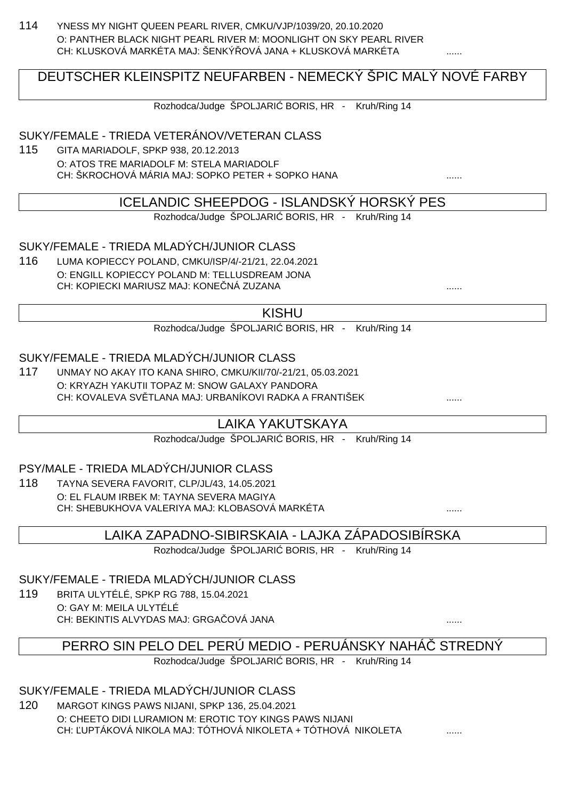114 YNESS MY NIGHT QUEEN PEARL RIVER, CMKU/VJP/1039/20, 20.10.2020 O: PANTHER BLACK NIGHT PEARL RIVER M: MOONLIGHT ON SKY PEARL RIVER CH: KLUSKOVÁ MARKÉTA MAJ: ŠENKÝ LOVÁ JANA + KLUSKOVÁ MARKÉTA

## DEUTSCHER KLEINSPITZ NEUFARBEN - NEMECKÝ ŠPIC MALÝ NOVÉ FARBY

Rozhodca/Judge ŠPOLJARI BORIS, HR - Kruh/Ring 14

#### SUKY/FEMALE - TRIEDA VETERÁNOV/VETERAN CLASS

115 GITA MARIADOLF, SPKP 938, 20.12.2013 O: ATOS TRE MARIADOLF M: STELA MARIADOLF CH: ŠKROCHOVÁ MÁRIA MAJ: SOPKO PETER + SOPKO HANA ......

### ICELANDIC SHEEPDOG - ISLANDSKÝ HORSKÝ PES

Rozhodca/Judge ŠPOLJARI BORIS, HR - Kruh/Ring 14

### SUKY/FEMALE - TRIEDA MLADÝCH/JUNIOR CLASS

116 LUMA KOPIECCY POLAND, CMKU/ISP/4/-21/21, 22.04.2021 O: ENGILL KOPIECCY POLAND M: TELLUSDREAM JONA CH: KOPIECKI MARIUSZ MAJ: KONEČNÁ ZUZANA ......

#### KISHU

Rozhodca/Judge ŠPOLJARI BORIS, HR - Kruh/Ring 14

#### SUKY/FEMALE - TRIEDA MLADÝCH/JUNIOR CLASS

117 UNMAY NO AKAY ITO KANA SHIRO, CMKU/KII/70/-21/21, 05.03.2021 O: KRYAZH YAKUTII TOPAZ M: SNOW GALAXY PANDORA CH: KOVALEVA SV. TLANA MAJ: URBANÍKOVI RADKA A FRANTIŠEK

### LAIKA YAKUTSKAYA

Rozhodca/Judge ŠPOLJARI BORIS, HR - Kruh/Ring 14

#### PSY/MALE - TRIEDA MLADÝCH/JUNIOR CLASS

118 TAYNA SEVERA FAVORIT, CLP/JL/43, 14.05.2021 O: EL FLAUM IRBEK M: TAYNA SEVERA MAGIYA CH: SHEBUKHOVA VALERIYA MAJ: KLOBASOVÁ MARKÉTA ......

### LAIKA ZAPADNO-SIBIRSKAIA - LAJKA ZÁPADOSIBÍRSKA

Rozhodca/Judge ŠPOLJARI BORIS, HR - Kruh/Ring 14

### SUKY/FEMALE - TRIEDA MLADÝCH/JUNIOR CLASS

119 BRITA ULYTÉLÉ, SPKP RG 788, 15.04.2021 O: GAY M: MEILA ULYTÉLÉ CH: BEKINTIS ALVYDAS MAJ: GRGAČOVÁ JANA ......

PERRO SIN PELO DEL PERÚ MEDIO - PERUÁNSKY NAHÁ STREDNÝ

Rozhodca/Judge ŠPOLJARI BORIS, HR - Kruh/Ring 14

### SUKY/FEMALE - TRIEDA MLADÝCH/JUNIOR CLASS

120 MARGOT KINGS PAWS NIJANI, SPKP 136, 25.04.2021 O: CHEETO DIDI LURAMION M: EROTIC TOY KINGS PAWS NIJANI CH: UPTÁKOVÁ NIKOLA MAJ: TÓTHOVÁ NIKOLETA + TÓTHOVÁ NIKOLETA  $\ldots$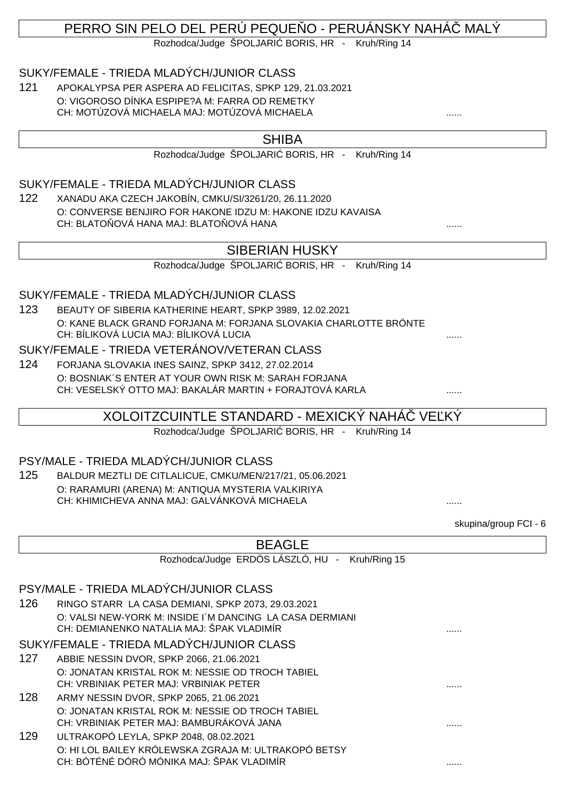# PERRO SIN PELO DEL PERÚ PEQUE O - PERUÁNSKY NAHÁ MALÝ

Rozhodca/Judge ŠPOLJARI BORIS, HR - Kruh/Ring 14

#### SUKY/FEMALE - TRIEDA MLADÝCH/JUNIOR CLASS

121 APOKALYPSA PER ASPERA AD FELICITAS, SPKP 129, 21.03.2021 O: VIGOROSO DÍNKA ESPIPE?A M: FARRA OD REMETKY CH: MOTÚZOVÁ MICHAELA MAJ: MOTÚZOVÁ MICHAELA

### SHIBA

Rozhodca/Judge ŠPOLJARI BORIS, HR - Kruh/Ring 14

### SUKY/FEMALE - TRIEDA MLADÝCH/JUNIOR CLASS

122 XANADU AKA CZECH JAKOBÍN, CMKU/SI/3261/20, 26.11.2020 O: CONVERSE BENJIRO FOR HAKONE IDZU M: HAKONE IDZU KAVAISA CH: BLATO OVÁ HANA MAJ: BLATO OVÁ HANA  $\ldots$ 

### SIBERIAN HUSKY

Rozhodca/Judge ŠPOLJARI BORIS, HR - Kruh/Ring 14

#### SUKY/FEMALE - TRIEDA MLADÝCH/JUNIOR CLASS

123 BEAUTY OF SIBERIA KATHERINE HEART, SPKP 3989, 12.02.2021 O: KANE BLACK GRAND FORJANA M: FORJANA SLOVAKIA CHARLOTTE BRÖNTE CH: BÍLIKOVÁ LUCIA MAJ: BÍLIKOVÁ LUCIA

#### SUKY/FEMALE - TRIEDA VETERÁNOV/VETERAN CLASS

124 FORJANA SLOVAKIA INES SAINZ, SPKP 3412, 27.02.2014 O: BOSNIAK´S ENTER AT YOUR OWN RISK M: SARAH FORJANA CH: VESELSKÝ OTTO MAJ: BAKALÁR MARTIN + FORAJTOVÁ KARLA ......

### XOLOITZCUINTLE STANDARD - MEXICKÝ NAHÁ $\;$  VE KÝ

Rozhodca/Judge ŠPOLJARI BORIS, HR - Kruh/Ring 14

#### PSY/MALE - TRIEDA MLADÝCH/JUNIOR CLASS

125 BALDUR MEZTLI DE CITLALICUE, CMKU/MEN/217/21, 05.06.2021 O: RARAMURI (ARENA) M: ANTIQUA MYSTERIA VALKIRIYA CH: KHIMICHEVA ANNA MAJ: GALVÁNKOVÁ MICHAELA ......

skupina/group FCI - 6

|     | <b>BEAGLE</b>                                            |  |
|-----|----------------------------------------------------------|--|
|     | Rozhodca/Judge ERDÖS LÁSZLÓ, HU - Kruh/Ring 15           |  |
|     |                                                          |  |
|     | PSY/MALE - TRIEDA MLADÝCH/JUNIOR CLASS                   |  |
| 126 | RINGO STARR LA CASA DEMIANI, SPKP 2073, 29.03.2021       |  |
|     | O: VALSI NEW-YORK M: INSIDE I'M DANCING LA CASA DERMIANI |  |
|     | CH: DEMIANENKO NATALIA MAJ: ŠPAK VLADIMÍR                |  |
|     | SUKY/FEMALE - TRIEDA MLADÝCH/JUNIOR CLASS                |  |
| 127 | ABBIE NESSIN DVOR, SPKP 2066, 21.06.2021                 |  |
|     | O: JONATAN KRISTAL ROK M: NESSIE OD TROCH TABIEL         |  |
|     | CH: VRBINIAK PETER MAJ: VRBINIAK PETER                   |  |
| 128 | ARMY NESSIN DVOR, SPKP 2065, 21.06.2021                  |  |
|     | O: JONATAN KRISTAL ROK M: NESSIE OD TROCH TABIEL         |  |
|     | CH: VRBINIAK PETER MAJ: BAMBURÁKOVÁ JANA                 |  |
| 129 | ULTRAKOPÓ LEYLA, SPKP 2048, 08.02.2021                   |  |
|     | O: HI LOL BAILEY KRÓLEWSKA ZGRAJA M: ULTRAKOPÓ BETSY     |  |
|     | CH: BÓTÉNÉ DÓRÓ MÓNIKA MAJ: ŠPAK VLADIMÍR                |  |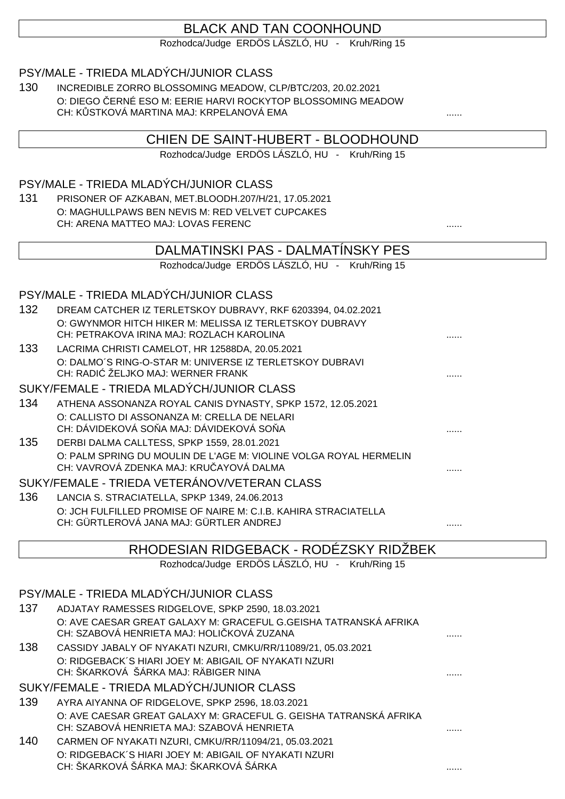# BLACK AND TAN COONHOUND

Rozhodca/Judge ERDÖS LÁSZLÓ, HU - Kruh/Ring 15

#### PSY/MALE - TRIEDA MLADÝCH/JUNIOR CLASS

130 INCREDIBLE ZORRO BLOSSOMING MEADOW, CLP/BTC/203, 20.02.2021 O: DIEGO ČERNÉ ESO M: EERIE HARVI ROCKYTOP BLOSSOMING MEADOW CH: K STKOVÁ MARTINA MAJ: KRPELANOVÁ EMA

### CHIEN DE SAINT-HUBERT - BLOODHOUND

Rozhodca/Judge ERDÖS LÁSZLÓ, HU - Kruh/Ring 15

### PSY/MALE - TRIEDA MLADÝCH/JUNIOR CLASS

131 PRISONER OF AZKABAN, MET.BLOODH.207/H/21, 17.05.2021 O: MAGHULLPAWS BEN NEVIS M: RED VELVET CUPCAKES CH: ARENA MATTEO MAJ: LOVAS FERENC ......

### DALMATINSKI PAS - DALMATÍNSKY PES

Rozhodca/Judge ERDÖS LÁSZLÓ, HU - Kruh/Ring 15

#### PSY/MALE - TRIEDA MLADÝCH/JUNIOR CLASS

| 132 | DREAM CATCHER IZ TERLETSKOY DUBRAVY, RKF 6203394, 04.02.2021<br>O: GWYNMOR HITCH HIKER M: MELISSA IZ TERLETSKOY DUBRAVY |   |
|-----|-------------------------------------------------------------------------------------------------------------------------|---|
|     | CH: PETRAKOVA IRINA MAJ: ROZLACH KAROLINA                                                                               | . |
| 133 | LACRIMA CHRISTI CAMELOT, HR 12588DA, 20.05.2021                                                                         |   |
|     | O: DALMO'S RING-O-STAR M: UNIVERSE IZ TERLETSKOY DUBRAVI<br>CH: RADI ŽELJKO MAJ: WERNER FRANK                           | . |
|     | SUKY/FEMALE - TRIEDA MLADÝCH/JUNIOR CLASS                                                                               |   |
| 134 | ATHENA ASSONANZA ROYAL CANIS DYNASTY, SPKP 1572, 12.05.2021                                                             |   |
|     | O: CALLISTO DI ASSONANZA M: CRELLA DE NELARI                                                                            |   |
|     | CH: DÁVIDEKOVÁ SO A MAJ: DÁVIDEKOVÁ SO A                                                                                |   |
| 135 | DERBI DALMA CALLTESS, SPKP 1559, 28.01.2021                                                                             |   |
|     | O: PALM SPRING DU MOULIN DE L'AGE M: VIOLINE VOLGA ROYAL HERMELIN<br>CH: VAVROVÁ ZDENKA MAJ: KRU AYOVÁ DALMA            |   |
|     | SUKY/FEMALE - TRIEDA VETERÁNOV/VETERAN CLASS                                                                            |   |
| 136 | LANCIA S. STRACIATELLA, SPKP 1349, 24.06.2013                                                                           |   |
|     | O: JCH FULFILLED PROMISE OF NAIRE M: C.I.B. KAHIRA STRACIATELLA<br>CH: GÜRTLEROVÁ JANA MAJ: GÜRTLER ANDREJ              |   |

### RHODESIAN RIDGEBACK - RODÉZSKY RIDŽBEK

Rozhodca/Judge ERDÖS LÁSZLÓ, HU - Kruh/Ring 15

### PSY/MALE - TRIEDA MLADÝCH/JUNIOR CLASS

| ADJATAY RAMESSES RIDGELOVE, SPKP 2590, 18.03.2021                |                                            |
|------------------------------------------------------------------|--------------------------------------------|
| O: AVE CAESAR GREAT GALAXY M: GRACEFUL G.GEISHA TATRANSKÁ AFRIKA |                                            |
|                                                                  |                                            |
|                                                                  | CH: SZABOVÁ HENRIETA MAJ: HOLI KOVÁ ZUZANA |

138 CASSIDY JABALY OF NYAKATI NZURI, CMKU/RR/11089/21, 05.03.2021 O: RIDGEBACK´S HIARI JOEY M: ABIGAIL OF NYAKATI NZURI CH: ŠKARKOVÁ ŠÁRKA MAJ: RÄBIGER NINA ......

SUKY/FEMALE - TRIEDA MLADÝCH/JUNIOR CLASS

- 139 AYRA AIYANNA OF RIDGELOVE, SPKP 2596, 18.03.2021 O: AVE CAESAR GREAT GALAXY M: GRACEFUL G. GEISHA TATRANSKÁ AFRIKA CH: SZABOVÁ HENRIETA MAJ: SZABOVÁ HENRIETA ......
- 140 CARMEN OF NYAKATI NZURI, CMKU/RR/11094/21, 05.03.2021 O: RIDGEBACK´S HIARI JOEY M: ABIGAIL OF NYAKATI NZURI CH: ŠKARKOVÁ ŠÁRKA MAJ: ŠKARKOVÁ ŠÁRKA ......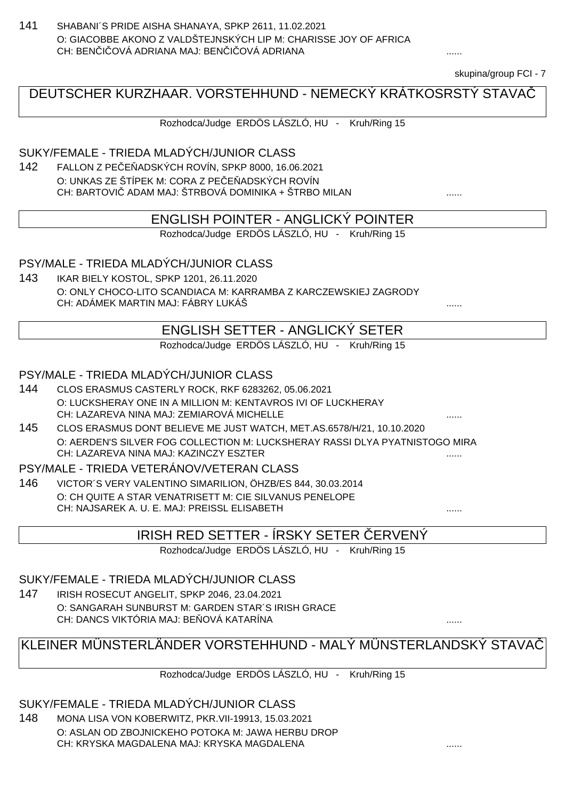141 SHABANI´S PRIDE AISHA SHANAYA, SPKP 2611, 11.02.2021 O: GIACOBBE AKONO Z VALDŠTEJNSKÝCH LIP M: CHARISSE JOY OF AFRICA CH: BENICOVÁ ADRIANA MAJ: BENICOVÁ ADRIANA

skupina/group FCI - 7

# DEUTSCHER KURZHAAR. VORSTEHHUND - NEMECKÝ KRÁTKOSRSTÝ STAVAČ

Rozhodca/Judge ERDÖS LÁSZLÓ, HU - Kruh/Ring 15

#### SUKY/FEMALE - TRIEDA MLADÝCH/JUNIOR CLASS

142 FALLON Z PEC ADSKÝCH ROVÍN, SPKP 8000, 16.06.2021 O: UNKAS ZE ŠTÍPEK M: CORA Z PE E ADSKÝCH ROVÍN CH: BARTOVI ADAM MAJ: ŠTRBOVÁ DOMINIKA + ŠTRBO MILAN .......

#### ENGLISH POINTER - ANGLICKÝ POINTER

Rozhodca/Judge ERDÖS LÁSZLÓ, HU - Kruh/Ring 15

#### PSY/MALE - TRIEDA MLADÝCH/JUNIOR CLASS

143 IKAR BIELY KOSTOL, SPKP 1201, 26.11.2020 O: ONLY CHOCO-LITO SCANDIACA M: KARRAMBA Z KARCZEWSKIEJ ZAGRODY CH: ADÁMEK MARTIN MAJ: FÁBRY LUKÁŠ ......

#### ENGLISH SETTER - ANGLICKÝ SETER

Rozhodca/Judge ERDÖS LÁSZLÓ, HU - Kruh/Ring 15

#### PSY/MALE - TRIEDA MLADÝCH/JUNIOR CLASS

- 144 CLOS ERASMUS CASTERLY ROCK, RKF 6283262, 05.06.2021 O: LUCKSHERAY ONE IN A MILLION M: KENTAVROS IVI OF LUCKHERAY CH: LAZAREVA NINA MAJ: ZEMIAROVÁ MICHELLE ......
- 145 CLOS ERASMUS DONT BELIEVE ME JUST WATCH, MET.AS.6578/H/21, 10.10.2020 O: AERDEN'S SILVER FOG COLLECTION M: LUCKSHERAY RASSI DLYA PYATNISTOGO MIRA CH: LAZAREVA NINA MAJ: KAZINCZY ESZTER ......

#### PSY/MALE - TRIEDA VETERÁNOV/VETERAN CLASS

146 VICTOR´S VERY VALENTINO SIMARILION, ÖHZB/ES 844, 30.03.2014 O: CH QUITE A STAR VENATRISETT M: CIE SILVANUS PENELOPE CH: NAJSAREK A. U. E. MAJ: PREISSL ELISABETH ......

### IRISH RED SETTER - ÍRSKY SETER ČERVENÝ

Rozhodca/Judge ERDÖS LÁSZLÓ, HU - Kruh/Ring 15

#### SUKY/FEMALE - TRIEDA MLADÝCH/JUNIOR CLASS

147 IRISH ROSECUT ANGELIT, SPKP 2046, 23.04.2021 O: SANGARAH SUNBURST M: GARDEN STAR´S IRISH GRACE CH: DANCS VIKTÓRIA MAJ: BEŇOVÁ KATARÍNA ......

# KLEINER MÜNSTERLÄNDER VORSTEHHUND - MALÝ MÜNSTERLANDSKÝ STAVAČ

Rozhodca/Judge ERDÖS LÁSZLÓ, HU - Kruh/Ring 15

SUKY/FEMALE - TRIEDA MLADÝCH/JUNIOR CLASS

148 MONA LISA VON KOBERWITZ, PKR.VII-19913, 15.03.2021 O: ASLAN OD ZBOJNICKEHO POTOKA M: JAWA HERBU DROP CH: KRYSKA MAGDALENA MAJ: KRYSKA MAGDALENA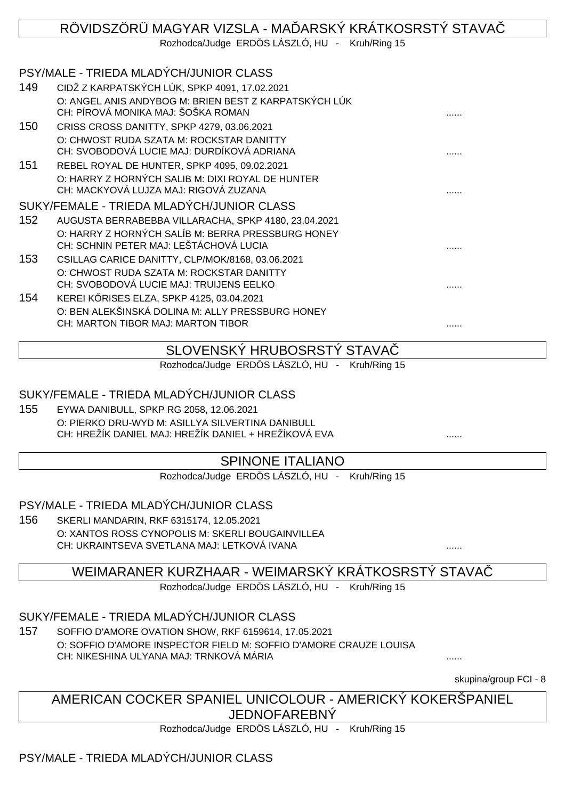# RÖVIDSZÖRÜ MAGYAR VIZSLA - MA ÞARSKÝ KRÁTKOSRSTÝ STAVA

Rozhodca/Judge ERDÖS LÁSZLÓ, HU - Kruh/Ring 15

# PSY/MALE - TRIEDA MLADÝCH/JUNIOR CLASS

| 149 | CIDŽ Z KARPATSKÝCH LÚK, SPKP 4091, 17.02.2021         |   |
|-----|-------------------------------------------------------|---|
|     | O: ANGEL ANIS ANDYBOG M: BRIEN BEST Z KARPATSKÝCH LÚK |   |
|     | CH: PÍROVÁ MONIKA MAJ: ŠOŠKA ROMAN                    | . |
| 150 | CRISS CROSS DANITTY, SPKP 4279, 03.06.2021            |   |
|     | O: CHWOST RUDA SZATA M: ROCKSTAR DANITTY              |   |

CH: SVOBODOVÁ LUCIE MAJ: DURDÍKOVÁ ADRIANA ...... 151 REBEL ROYAL DE HUNTER, SPKP 4095, 09.02.2021 O: HARRY Z HORNÝCH SALIB M: DIXI ROYAL DE HUNTER CH: MACKYOVÁ LUJZA MAJ: RIGOVÁ ZUZANA ......

## SUKY/FEMALE - TRIEDA MLADÝCH/JUNIOR CLASS

- 152 AUGUSTA BERRABEBBA VILLARACHA, SPKP 4180, 23.04.2021 O: HARRY Z HORNÝCH SALÍB M: BERRA PRESSBURG HONEY CH: SCHNIN PETER MAJ: LEŠTÁCHOVÁ LUCIA ...... 153 CSILLAG CARICE DANITTY, CLP/MOK/8168, 03.06.2021
- O: CHWOST RUDA SZATA M: ROCKSTAR DANITTY CH: SVOBODOVÁ LUCIE MAJ: TRUIJENS EELKO ......
- 154 KEREI KRISES ELZA, SPKP 4125, 03.04.2021 O: BEN ALEKŠINSKÁ DOLINA M: ALLY PRESSBURG HONEY CH: MARTON TIBOR MAJ: MARTON TIBOR ......

### SLOVENSKÝ HRUBOSRSTÝ STAVAČ

Rozhodca/Judge ERDÖS LÁSZLÓ, HU - Kruh/Ring 15

#### SUKY/FEMALE - TRIEDA MLADÝCH/JUNIOR CLASS

155 EYWA DANIBULL, SPKP RG 2058, 12.06.2021 O: PIERKO DRU-WYD M: ASILLYA SILVERTINA DANIBULL CH: HREŽÍK DANIEL MAJ: HREŽÍK DANIEL + HREŽÍKOVÁ EVA

### SPINONE ITALIANO

Rozhodca/Judge ERDÖS LÁSZLÓ, HU - Kruh/Ring 15

### PSY/MALE - TRIEDA MLADÝCH/JUNIOR CLASS

156 SKERLI MANDARIN, RKF 6315174, 12.05.2021 O: XANTOS ROSS CYNOPOLIS M: SKERLI BOUGAINVILLEA CH: UKRAINTSEVA SVETLANA MAJ: LETKOVÁ IVANA  $\ldots$ 

### WEIMARANER KURZHAAR - WEIMARSKÝ KRÁTKOSRSTÝ STAVAČ

Rozhodca/Judge ERDÖS LÁSZLÓ, HU - Kruh/Ring 15

### SUKY/FEMALE - TRIEDA MLADÝCH/JUNIOR CLASS

157 SOFFIO D'AMORE OVATION SHOW, RKF 6159614, 17.05.2021 O: SOFFIO D'AMORE INSPECTOR FIELD M: SOFFIO D'AMORE CRAUZE LOUISA CH: NIKESHINA ULYANA MAJ: TRNKOVÁ MÁRIA ......

skupina/group FCI - 8

### AMERICAN COCKER SPANIEL UNICOLOUR - AMERICKÝ KOKERŠPANIEL JEDNOFAREBNÝ

Rozhodca/Judge ERDÖS LÁSZLÓ, HU - Kruh/Ring 15

### PSY/MALE - TRIEDA MLADÝCH/JUNIOR CLASS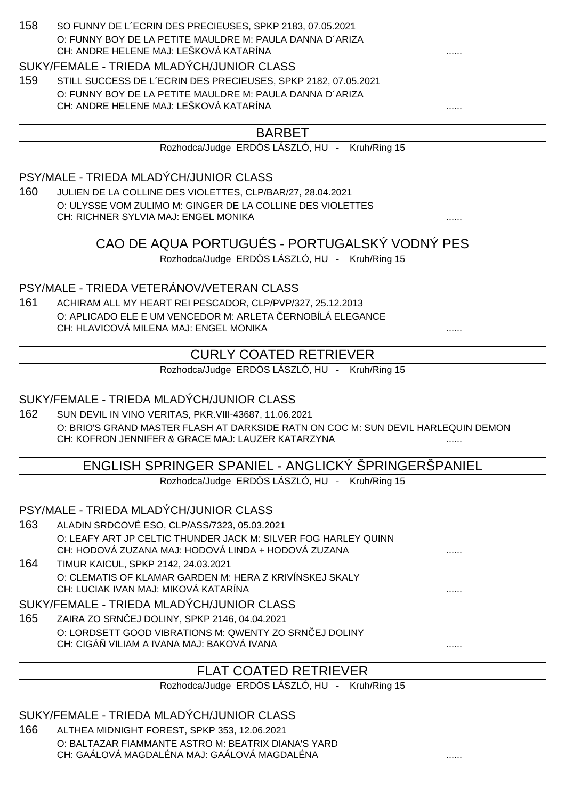#### 158 SO FUNNY DE L´ECRIN DES PRECIEUSES, SPKP 2183, 07.05.2021 O: FUNNY BOY DE LA PETITE MAULDRE M: PAULA DANNA D´ARIZA CH: ANDRE HELENE MAJ: LEŠKOVÁ KATARÍNA

#### SUKY/FEMALE - TRIEDA MLADÝCH/JUNIOR CLASS

159 STILL SUCCESS DE L´ECRIN DES PRECIEUSES, SPKP 2182, 07.05.2021 O: FUNNY BOY DE LA PETITE MAULDRE M: PAULA DANNA D´ARIZA CH: ANDRE HELENE MAJ: LEŠKOVÁ KATARÍNA ......

### BARBET

Rozhodca/Judge ERDÖS LÁSZLÓ, HU - Kruh/Ring 15

PSY/MALE - TRIEDA MLADÝCH/JUNIOR CLASS

160 JULIEN DE LA COLLINE DES VIOLETTES, CLP/BAR/27, 28.04.2021 O: ULYSSE VOM ZULIMO M: GINGER DE LA COLLINE DES VIOLETTES CH: RICHNER SYLVIA MAJ: ENGEL MONIKA ......

CAO DE AQUA PORTUGUÉS - PORTUGALSKÝ VODNÝ PES

Rozhodca/Judge ERDÖS LÁSZLÓ, HU - Kruh/Ring 15

#### PSY/MALE - TRIEDA VETERÁNOV/VETERAN CLASS

161 ACHIRAM ALL MY HEART REI PESCADOR, CLP/PVP/327, 25.12.2013 O: APLICADO ELE E UM VENCEDOR M: ARLETA ERNOBÍLÁ ELEGANCE CH: HLAVICOVÁ MILENA MAJ: ENGEL MONIKA

## CURLY COATED RETRIEVER

Rozhodca/Judge ERDÖS LÁSZLÓ, HU - Kruh/Ring 15

#### SUKY/FEMALE - TRIEDA MLADÝCH/JUNIOR CLASS

162 SUN DEVIL IN VINO VERITAS, PKR.VIII-43687, 11.06.2021 O: BRIO'S GRAND MASTER FLASH AT DARKSIDE RATN ON COC M: SUN DEVIL HARLEQUIN DEMON CH: KOFRON JENNIFER & GRACE MAJ: LAUZER KATARZYNA

### ENGLISH SPRINGER SPANIEL - ANGLICKÝ ŠPRINGERŠPANIEL

Rozhodca/Judge ERDÖS LÁSZLÓ, HU - Kruh/Ring 15

#### PSY/MALE - TRIEDA MLADÝCH/JUNIOR CLASS

- 163 ALADIN SRDCOVÉ ESO, CLP/ASS/7323, 05.03.2021 O: LEAFY ART JP CELTIC THUNDER JACK M: SILVER FOG HARLEY QUINN CH: HODOVÁ ZUZANA MAJ: HODOVÁ LINDA + HODOVÁ ZUZANA
- 164 TIMUR KAICUL, SPKP 2142, 24.03.2021 O: CLEMATIS OF KLAMAR GARDEN M: HERA Z KRIVÍNSKEJ SKALY CH: LUCIAK IVAN MAJ: MIKOVÁ KATARÍNA

#### SUKY/FEMALE - TRIEDA MLADÝCH/JUNIOR CLASS

165 ZAIRA ZO SRNČEJ DOLINY, SPKP 2146, 04.04.2021 O: LORDSETT GOOD VIBRATIONS M: QWENTY ZO SRN EJ DOLINY CH: CIGÁŇ VILIAM A IVANA MAJ: BAKOVÁ IVANA ......

# FLAT COATED RETRIEVER

Rozhodca/Judge ERDÖS LÁSZLÓ, HU - Kruh/Ring 15

SUKY/FEMALE - TRIEDA MLADÝCH/JUNIOR CLASS

166 ALTHEA MIDNIGHT FOREST, SPKP 353, 12.06.2021 O: BALTAZAR FIAMMANTE ASTRO M: BEATRIX DIANA'S YARD CH: GAÁLOVÁ MAGDALÉNA MAJ: GAÁLOVÁ MAGDALÉNA ......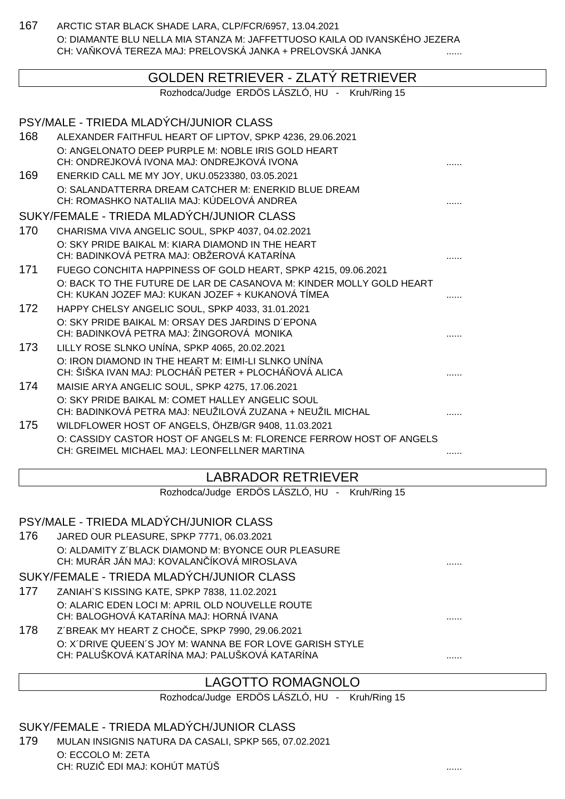167 ARCTIC STAR BLACK SHADE LARA, CLP/FCR/6957, 13.04.2021 O: DIAMANTE BLU NELLA MIA STANZA M: JAFFETTUOSO KAILA OD IVANSKÉHO JEZERA CH: VA KOVÁ TEREZA MAJ: PRELOVSKÁ JANKA + PRELOVSKÁ JANKA

### GOLDEN RETRIEVER - ZLATÝ RETRIEVER

Rozhodca/Judge ERDÖS LÁSZLÓ, HU - Kruh/Ring 15

| PSY/MALE - TRIEDA MLADÝCH/JUNIOR CLASS                                                                     |                                                                                                                                                                                                                                                                                                                                                       |
|------------------------------------------------------------------------------------------------------------|-------------------------------------------------------------------------------------------------------------------------------------------------------------------------------------------------------------------------------------------------------------------------------------------------------------------------------------------------------|
| ALEXANDER FAITHFUL HEART OF LIPTOV, SPKP 4236, 29.06.2021                                                  |                                                                                                                                                                                                                                                                                                                                                       |
| CH: ONDREJKOVÁ IVONA MAJ: ONDREJKOVÁ IVONA                                                                 |                                                                                                                                                                                                                                                                                                                                                       |
| ENERKID CALL ME MY JOY, UKU.0523380, 03.05.2021                                                            |                                                                                                                                                                                                                                                                                                                                                       |
| O: SALANDATTERRA DREAM CATCHER M: ENERKID BLUE DREAM<br>CH: ROMASHKO NATALIIA MAJ: KÚDELOVÁ ANDREA         |                                                                                                                                                                                                                                                                                                                                                       |
| SUKY/FEMALE - TRIEDA MLADÝCH/JUNIOR CLASS                                                                  |                                                                                                                                                                                                                                                                                                                                                       |
| CHARISMA VIVA ANGELIC SOUL, SPKP 4037, 04.02.2021                                                          |                                                                                                                                                                                                                                                                                                                                                       |
| O: SKY PRIDE BAIKAL M: KIARA DIAMOND IN THE HEART<br>CH: BADINKOVÁ PETRA MAJ: OBŽEROVÁ KATARÍNA            |                                                                                                                                                                                                                                                                                                                                                       |
| FUEGO CONCHITA HAPPINESS OF GOLD HEART, SPKP 4215, 09.06.2021                                              |                                                                                                                                                                                                                                                                                                                                                       |
| CH: KUKAN JOZEF MAJ: KUKAN JOZEF + KUKANOVÁ TÍMEA                                                          |                                                                                                                                                                                                                                                                                                                                                       |
| HAPPY CHELSY ANGELIC SOUL, SPKP 4033, 31.01.2021                                                           |                                                                                                                                                                                                                                                                                                                                                       |
| CH: BADINKOVÁ PETRA MAJ: ŽINGOROVÁ MONIKA                                                                  |                                                                                                                                                                                                                                                                                                                                                       |
| LILLY ROSE SLNKO UNÍNA, SPKP 4065, 20.02.2021                                                              |                                                                                                                                                                                                                                                                                                                                                       |
| O: IRON DIAMOND IN THE HEART M: EIMI-LI SLNKO UNÍNA<br>CH: ŠIŠKA IVAN MAJ: PLOCHÁ PETER + PLOCHÁ OVÁ ALICA |                                                                                                                                                                                                                                                                                                                                                       |
| MAISIE ARYA ANGELIC SOUL, SPKP 4275, 17.06.2021                                                            |                                                                                                                                                                                                                                                                                                                                                       |
|                                                                                                            |                                                                                                                                                                                                                                                                                                                                                       |
|                                                                                                            |                                                                                                                                                                                                                                                                                                                                                       |
| O: CASSIDY CASTOR HOST OF ANGELS M: FLORENCE FERROW HOST OF ANGELS                                         |                                                                                                                                                                                                                                                                                                                                                       |
| CH: GREIMEL MICHAEL MAJ: LEONFELLNER MARTINA                                                               | .                                                                                                                                                                                                                                                                                                                                                     |
|                                                                                                            | O: ANGELONATO DEEP PURPLE M: NOBLE IRIS GOLD HEART<br>O: BACK TO THE FUTURE DE LAR DE CASANOVA M: KINDER MOLLY GOLD HEART<br>O: SKY PRIDE BAIKAL M: ORSAY DES JARDINS D'EPONA<br>O: SKY PRIDE BAIKAL M: COMET HALLEY ANGELIC SOUL<br>CH: BADINKOVÁ PETRA MAJ: NEUŽILOVÁ ZUZANA + NEUŽIL MICHAL<br>WILDFLOWER HOST OF ANGELS, ÖHZB/GR 9408, 11.03.2021 |

### LABRADOR RETRIEVER

Rozhodca/Judge ERDÖS LÁSZLÓ, HU - Kruh/Ring 15

#### PSY/MALE - TRIEDA MLADÝCH/JUNIOR CLASS

176 JARED OUR PLEASURE, SPKP 7771, 06.03.2021 O: ALDAMITY Z´BLACK DIAMOND M: BYONCE OUR PLEASURE CH: MURÁR JÁN MAJ: KOVALAN ÍKOVÁ MIROSLAVA **a na hadalala a na hadala a na hadala** ......

#### SUKY/FEMALE - TRIEDA MLADÝCH/JUNIOR CLASS

- 177 ZANIAH`S KISSING KATE, SPKP 7838, 11.02.2021 O: ALARIC EDEN LOCI M: APRIL OLD NOUVELLE ROUTE CH: BALOGHOVÁ KATARÍNA MAJ: HORNÁ IVANA ......
- 178 Z´BREAK MY HEART Z CHOČE, SPKP 7990, 29.06.2021 O: X´DRIVE QUEEN´S JOY M: WANNA BE FOR LOVE GARISH STYLE CH: PALUŠKOVÁ KATARÍNA MAJ: PALUŠKOVÁ KATARÍNA

### LAGOTTO ROMAGNOLO

Rozhodca/Judge ERDÖS LÁSZLÓ, HU - Kruh/Ring 15

#### SUKY/FEMALE - TRIEDA MLADÝCH/JUNIOR CLASS

179 MULAN INSIGNIS NATURA DA CASALI, SPKP 565, 07.02.2021 O: ECCOLO M: ZETA CH: RUZIČ EDI MAJ: KOHÚT MATÚŠ ......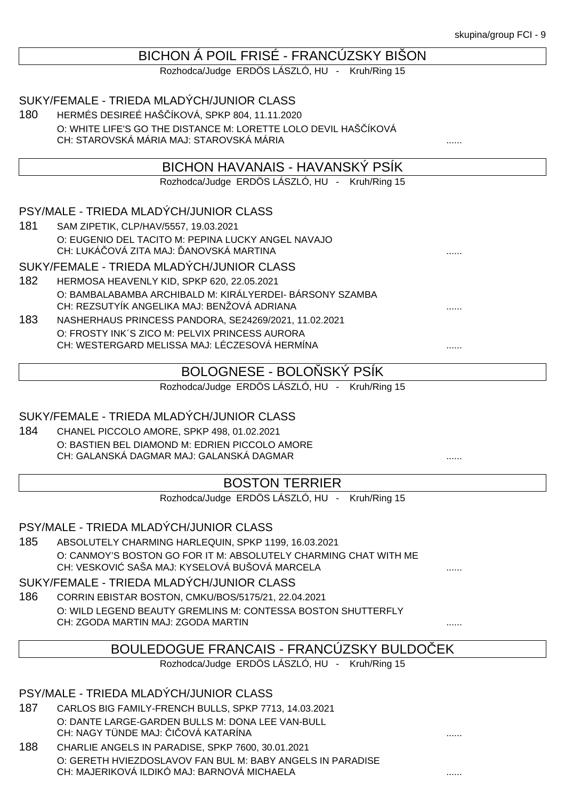| BICHON A POIL FRISE - FRANCUZSKY BISON |  |  |
|----------------------------------------|--|--|
|                                        |  |  |
|                                        |  |  |
|                                        |  |  |

Rozhodca/Judge ERDÖS LÁSZLÓ, HU - Kruh/Ring 15

SUKY/FEMALE - TRIEDA MLADÝCH/JUNIOR CLASS

180 HERMÉS DESIREÉ HAŠČÍKOVÁ, SPKP 804, 11.11.2020 O: WHITE LIFE'S GO THE DISTANCE M: LORETTE LOLO DEVIL HAŠ ÍKOVÁ CH: STAROVSKÁ MÁRIA MAJ: STAROVSKÁ MÁRIA  $\ldots$ 

### BICHON HAVANAIS - HAVANSKÝ PSÍK

Rozhodca/Judge ERDÖS LÁSZLÓ, HU - Kruh/Ring 15

#### PSY/MALE - TRIEDA MLADÝCH/JUNIOR CLASS

181 SAM ZIPETIK, CLP/HAV/5557, 19.03.2021 O: EUGENIO DEL TACITO M: PEPINA LUCKY ANGEL NAVAJO CH: LUKÁ OVÁ ZITA MAJ: ANOVSKÁ MARTINA

#### SUKY/FEMALE - TRIEDA MLADÝCH/JUNIOR CLASS

- 182 HERMOSA HEAVENLY KID, SPKP 620, 22.05.2021 O: BAMBALABAMBA ARCHIBALD M: KIRÁLYERDEI- BÁRSONY SZAMBA CH: REZSUTYÍK ANGELIKA MAJ: BENŽOVÁ ADRIANA
- 183 NASHERHAUS PRINCESS PANDORA, SE24269/2021, 11.02.2021 O: FROSTY INK´S ZICO M: PELVIX PRINCESS AURORA CH: WESTERGARD MELISSA MAJ: LÉCZESOVÁ HERMÍNA ......

### BOLOGNESE - BOLO SKÝ PSÍK

Rozhodca/Judge ERDÖS LÁSZLÓ, HU - Kruh/Ring 15

#### SUKY/FEMALE - TRIEDA MLADÝCH/JUNIOR CLASS

184 CHANEL PICCOLO AMORE, SPKP 498, 01.02.2021 O: BASTIEN BEL DIAMOND M: EDRIEN PICCOLO AMORE CH: GALANSKÁ DAGMAR MAJ: GALANSKÁ DAGMAR

## BOSTON TERRIER

Rozhodca/Judge ERDÖS LÁSZLÓ, HU - Kruh/Ring 15

#### PSY/MALE - TRIEDA MLADÝCH/JUNIOR CLASS

185 ABSOLUTELY CHARMING HARLEQUIN, SPKP 1199, 16.03.2021 O: CANMOY'S BOSTON GO FOR IT M: ABSOLUTELY CHARMING CHAT WITH ME CH: VESKOVI SAŠA MAJ: KYSELOVÁ BUŠOVÁ MARCELA

#### SUKY/FEMALE - TRIEDA MLADÝCH/JUNIOR CLASS

186 CORRIN EBISTAR BOSTON, CMKU/BOS/5175/21, 22.04.2021 O: WILD LEGEND BEAUTY GREMLINS M: CONTESSA BOSTON SHUTTERFLY CH: ZGODA MARTIN MAJ: ZGODA MARTIN ......

### BOULEDOGUE FRANCAIS - FRANCÚZSKY BULDOČEK

Rozhodca/Judge ERDÖS LÁSZLÓ, HU - Kruh/Ring 15

PSY/MALE - TRIEDA MLADÝCH/JUNIOR CLASS

- 187 CARLOS BIG FAMILY-FRENCH BULLS, SPKP 7713, 14.03.2021 O: DANTE LARGE-GARDEN BULLS M: DONA LEE VAN-BULL CH: NAGY TÜNDE MAJ: I OVÁ KATARÍNA
- 188 CHARLIE ANGELS IN PARADISE, SPKP 7600, 30.01.2021 O: GERETH HVIEZDOSLAVOV FAN BUL M: BABY ANGELS IN PARADISE CH: MAJERIKOVÁ ILDIKÓ MAJ: BARNOVÁ MICHAELA ......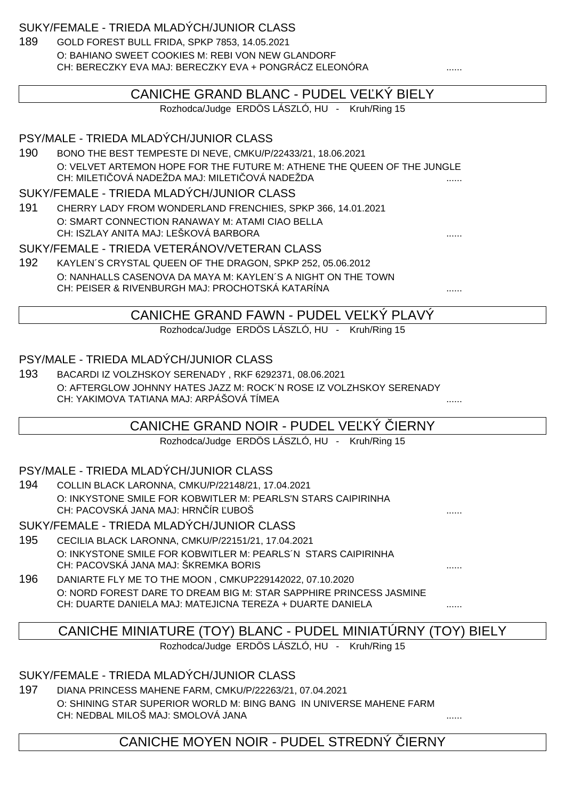SUKY/FEMALE - TRIEDA MLADÝCH/JUNIOR CLASS

189 GOLD FOREST BULL FRIDA, SPKP 7853, 14.05.2021 O: BAHIANO SWEET COOKIES M: REBI VON NEW GLANDORF CH: BERECZKY EVA MAJ: BERECZKY EVA + PONGRÁCZ ELEONÓRA .......

| CANICHE GRAND BLANC - PUDEL VE KY BIELY        |                                                                                                                           |   |
|------------------------------------------------|---------------------------------------------------------------------------------------------------------------------------|---|
| Rozhodca/Judge ERDÖS LÁSZLÓ, HU - Kruh/Ring 15 |                                                                                                                           |   |
|                                                |                                                                                                                           |   |
|                                                | PSY/MALE - TRIEDA MLADÝCH/JUNIOR CLASS                                                                                    |   |
| 190                                            | BONO THE BEST TEMPESTE DI NEVE, CMKU/P/22433/21, 18.06.2021                                                               |   |
|                                                | O: VELVET ARTEMON HOPE FOR THE FUTURE M: ATHENE THE QUEEN OF THE JUNGLE<br>CH: MILETI OVÁ NADEŽDA MAJ: MILETI OVÁ NADEŽDA |   |
|                                                | SUKY/FEMALE - TRIEDA MLADÝCH/JUNIOR CLASS                                                                                 |   |
| 191                                            | CHERRY LADY FROM WONDERLAND FRENCHIES, SPKP 366, 14.01.2021                                                               |   |
|                                                | O: SMART CONNECTION RANAWAY M: ATAMI CIAO BELLA<br>CH: ISZLAY ANITA MAJ: LEŠKOVÁ BARBORA                                  |   |
|                                                | SUKY/FEMALE - TRIEDA VETERÁNOV/VETERAN CLASS                                                                              |   |
| 192                                            | KAYLEN'S CRYSTAL QUEEN OF THE DRAGON, SPKP 252, 05.06.2012                                                                |   |
|                                                | O: NANHALLS CASENOVA DA MAYA M: KAYLEN'S A NIGHT ON THE TOWN                                                              |   |
|                                                | CH: PEISER & RIVENBURGH MAJ: PROCHOTSKÁ KATARÍNA                                                                          |   |
|                                                | CANICHE GRAND FAWN - PUDEL VE KY PLAVY                                                                                    |   |
|                                                | Rozhodca/Judge ERDÖS LÁSZLÓ, HU - Kruh/Ring 15                                                                            |   |
|                                                |                                                                                                                           |   |
|                                                | PSY/MALE - TRIEDA MLADÝCH/JUNIOR CLASS                                                                                    |   |
| 193                                            | BACARDI IZ VOLZHSKOY SERENADY, RKF 6292371, 08.06.2021                                                                    |   |
|                                                | O: AFTERGLOW JOHNNY HATES JAZZ M: ROCK N ROSE IZ VOLZHSKOY SERENADY                                                       |   |
|                                                | CH: YAKIMOVA TATIANA MAJ: ARPÁŠOVÁ TÍMEA                                                                                  |   |
|                                                | CANICHE GRAND NOIR - PUDEL VE KÝ IERNY                                                                                    |   |
|                                                | Rozhodca/Judge ERDÖS LÁSZLÓ, HU - Kruh/Ring 15                                                                            |   |
|                                                |                                                                                                                           |   |
|                                                | PSY/MALE - TRIEDA MLADÝCH/JUNIOR CLASS                                                                                    |   |
| 194                                            | COLLIN BLACK LARONNA, CMKU/P/22148/21, 17.04.2021                                                                         |   |
|                                                | O: INKYSTONE SMILE FOR KOBWITLER M: PEARLS'N STARS CAIPIRINHA                                                             |   |
|                                                | CH: PACOVSKÁ JANA MAJ: HRN ÍR UBOŠ                                                                                        |   |
|                                                | SUKY/FEMALE - TRIEDA MLADÝCH/JUNIOR CLASS                                                                                 |   |
| 195                                            | CECILIA BLACK LARONNA, CMKU/P/22151/21, 17.04.2021                                                                        |   |
|                                                | O: INKYSTONE SMILE FOR KOBWITLER M: PEARLS 'N STARS CAIPIRINHA<br>CH: PACOVSKÁ JANA MAJ: ŠKREMKA BORIS                    |   |
| 196                                            | DANIARTE FLY ME TO THE MOON, CMKUP229142022, 07.10.2020                                                                   |   |
|                                                | O: NORD FOREST DARE TO DREAM BIG M: STAR SAPPHIRE PRINCESS JASMINE                                                        |   |
|                                                | CH: DUARTE DANIELA MAJ: MATEJICNA TEREZA + DUARTE DANIELA                                                                 | . |
|                                                |                                                                                                                           |   |
|                                                | CANICHE MINIATURE (TOY) BLANC - PUDEL MINIATURNY (TOY) BIELY                                                              |   |
|                                                | Rozhodca/Judge ERDÖS LÁSZLÓ, HU - Kruh/Ring 15                                                                            |   |
|                                                |                                                                                                                           |   |

# SUKY/FEMALE - TRIEDA MLADÝCH/JUNIOR CLASS

197 DIANA PRINCESS MAHENE FARM, CMKU/P/22263/21, 07.04.2021 O: SHINING STAR SUPERIOR WORLD M: BING BANG IN UNIVERSE MAHENE FARM CH: NEDBAL MILOŠ MAJ: SMOLOVÁ JANA ......

CANICHE MOYEN NOIR - PUDEL STREDNÝ IERNY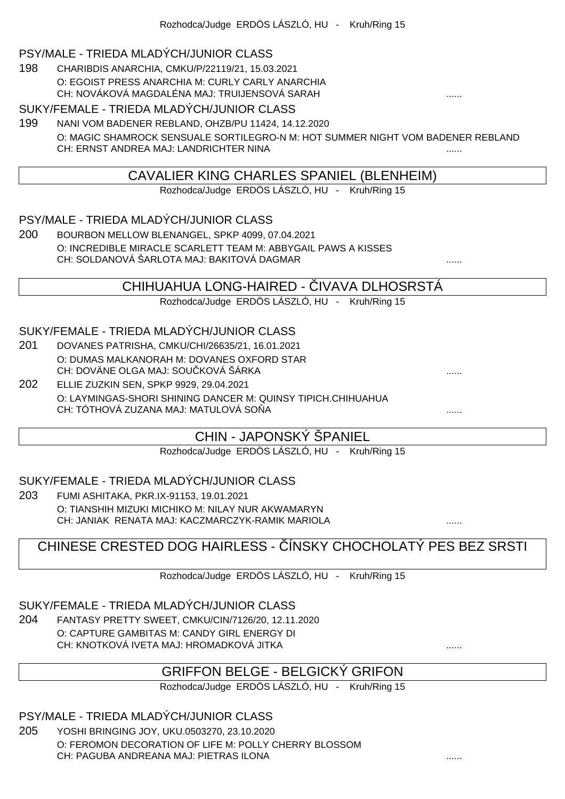#### PSY/MALE - TRIEDA MLADÝCH/JUNIOR CLASS

198 CHARIBDIS ANARCHIA, CMKU/P/22119/21, 15.03.2021 O: EGOIST PRESS ANARCHIA M: CURLY CARLY ANARCHIA CH: NOVÁKOVÁ MAGDALÉNA MAJ: TRUIJENSOVÁ SARAH ......

#### SUKY/FEMALE - TRIEDA MLADÝCH/JUNIOR CLASS

199 NANI VOM BADENER REBLAND, OHZB/PU 11424, 14.12.2020 O: MAGIC SHAMROCK SENSUALE SORTILEGRO-N M: HOT SUMMER NIGHT VOM BADENER REBLAND CH: ERNST ANDREA MAJ: LANDRICHTER NINA ......

### CAVALIER KING CHARLES SPANIEL (BLENHEIM)

Rozhodca/Judge ERDÖS LÁSZLÓ, HU - Kruh/Ring 15

#### PSY/MALE - TRIEDA MLADÝCH/JUNIOR CLASS

200 BOURBON MELLOW BLENANGEL, SPKP 4099, 07.04.2021 O: INCREDIBLE MIRACLE SCARLETT TEAM M: ABBYGAIL PAWS A KISSES CH: SOLDANOVÁ ŠARLOTA MAJ: BAKITOVÁ DAGMAR ......

### CHIHUAHUA LONG-HAIRED - VAVA DI HOSRSTÁ

Rozhodca/Judge ERDÖS LÁSZLÓ, HU - Kruh/Ring 15

#### SUKY/FEMALE - TRIEDA MLADÝCH/JUNIOR CLASS

- 201 DOVANES PATRISHA, CMKU/CHI/26635/21, 16.01.2021 O: DUMAS MALKANORAH M: DOVANES OXFORD STAR CH: DOVÄNE OLGA MAJ: SOU KOVÁ ŠÁRKA
- 202 ELLIE ZUZKIN SEN, SPKP 9929, 29.04.2021 O: LAYMINGAS-SHORI SHINING DANCER M: QUINSY TIPICH.CHIHUAHUA CH: TÓTHOVÁ ZUZANA MAJ: MATULOVÁ SOŇA ......

### CHIN - JAPONSKÝ ŠPANIEL

Rozhodca/Judge ERDÖS LÁSZLÓ, HU - Kruh/Ring 15

#### SUKY/FEMALE - TRIEDA MLADÝCH/JUNIOR CLASS

203 FUMI ASHITAKA, PKR.IX-91153, 19.01.2021 O: TIANSHIH MIZUKI MICHIKO M: NILAY NUR AKWAMARYN CH: JANIAK RENATA MAJ: KACZMARCZYK-RAMIK MARIOLA ......

# CHINESE CRESTED DOG HAIRLESS - ÍNSKY CHOCHOLATÝ PES BEZ SRSTI

Rozhodca/Judge ERDÖS LÁSZLÓ, HU - Kruh/Ring 15

#### SUKY/FEMALE - TRIEDA MLADÝCH/JUNIOR CLASS

204 FANTASY PRETTY SWEET, CMKU/CIN/7126/20, 12.11.2020 O: CAPTURE GAMBITAS M: CANDY GIRL ENERGY DI CH: KNOTKOVÁ IVETA MAJ: HROMADKOVÁ JITKA

### GRIFFON BELGE - BELGICKÝ GRIFON

Rozhodca/Judge ERDÖS LÁSZLÓ, HU - Kruh/Ring 15

PSY/MALE - TRIEDA MLADÝCH/JUNIOR CLASS

205 YOSHI BRINGING JOY, UKU.0503270, 23.10.2020 O: FEROMON DECORATION OF LIFE M: POLLY CHERRY BLOSSOM CH: PAGUBA ANDREANA MAJ: PIETRAS ILONA ......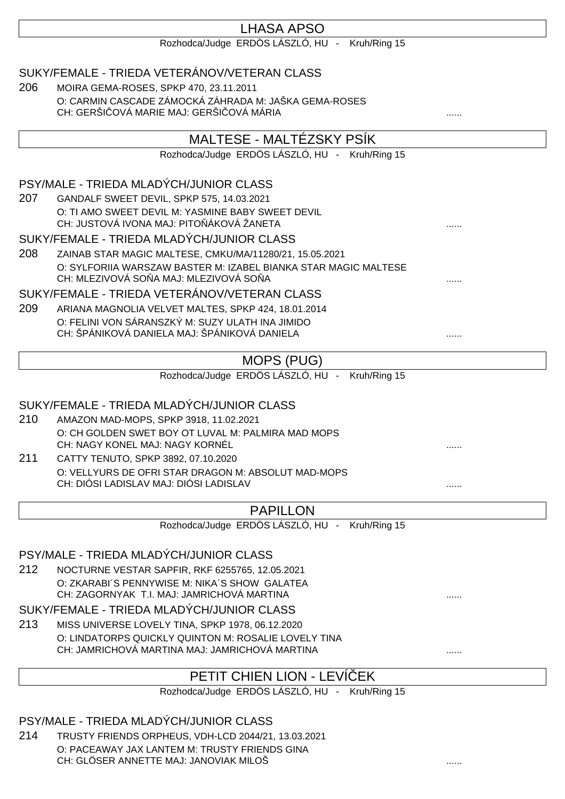# LHASA APSO

Rozhodca/Judge ERDÖS LÁSZLÓ, HU - Kruh/Ring 15

|     | SUKY/FEMALE - TRIEDA VETERÁNOV/VETERAN CLASS                                                              |  |
|-----|-----------------------------------------------------------------------------------------------------------|--|
| 206 | MOIRA GEMA-ROSES, SPKP 470, 23.11.2011<br>O: CARMIN CASCADE ZÁMOCKÁ ZÁHRADA M: JAŠKA GEMA-ROSES           |  |
|     | CH: GERŠI OVÁ MARIE MAJ: GERŠI OVÁ MÁRIA                                                                  |  |
|     | MALTESE - MALTÉZSKY PSÍK                                                                                  |  |
|     | Rozhodca/Judge ERDÖS LÁSZLÓ, HU - Kruh/Ring 15                                                            |  |
|     |                                                                                                           |  |
|     | PSY/MALE - TRIEDA MLADÝCH/JUNIOR CLASS                                                                    |  |
| 207 | GANDALF SWEET DEVIL, SPKP 575, 14.03.2021                                                                 |  |
|     | O: TI AMO SWEET DEVIL M: YASMINE BABY SWEET DEVIL<br>CH: JUSTOVÁ IVONA MAJ: PITO ÁKOVÁ ŽANETA             |  |
|     | SUKY/FEMALE - TRIEDA MLADÝCH/JUNIOR CLASS                                                                 |  |
| 208 | ZAINAB STAR MAGIC MALTESE, CMKU/MA/11280/21, 15.05.2021                                                   |  |
|     | O: SYLFORIIA WARSZAW BASTER M: IZABEL BIANKA STAR MAGIC MALTESE<br>CH: MLEZIVOVÁ SO A MAJ: MLEZIVOVÁ SO A |  |
|     | SUKY/FEMALE - TRIEDA VETERÁNOV/VETERAN CLASS                                                              |  |
| 209 | ARIANA MAGNOLIA VELVET MALTES, SPKP 424, 18.01.2014                                                       |  |
|     | O: FELINI VON SÁRANSZKÝ M: SUZY ULATH INA JIMIDO                                                          |  |
|     | CH: ŠPÁNIKOVÁ DANIELA MAJ: ŠPÁNIKOVÁ DANIELA                                                              |  |
|     | MOPS (PUG)                                                                                                |  |
|     | Rozhodca/Judge ERDÖS LÁSZLÓ, HU - Kruh/Ring 15                                                            |  |
|     |                                                                                                           |  |
|     | SUKY/FEMALE - TRIEDA MLADÝCH/JUNIOR CLASS                                                                 |  |
| 210 | AMAZON MAD-MOPS, SPKP 3918, 11.02.2021                                                                    |  |
|     | O: CH GOLDEN SWET BOY OT LUVAL M: PALMIRA MAD MOPS<br>CH: NAGY KONEL MAJ: NAGY KORNÉL                     |  |
| 211 | CATTY TENUTO, SPKP 3892, 07.10.2020                                                                       |  |
|     | O: VELLYURS DE OFRI STAR DRAGON M: ABSOLUT MAD-MOPS                                                       |  |
|     | CH: DIÓSI LADISLAV MAJ: DIÓSI LADISLAV                                                                    |  |
|     | <b>PAPILLON</b>                                                                                           |  |
|     | Rozhodca/Judge ERDÖS LÁSZLÓ, HU -<br>Kruh/Ring 15                                                         |  |
|     |                                                                                                           |  |
|     | PSY/MALE - TRIEDA MLADÝCH/JUNIOR CLASS                                                                    |  |
| 212 | NOCTURNE VESTAR SAPFIR, RKF 6255765, 12.05.2021                                                           |  |
|     | O: ZKARABI'S PENNYWISE M: NIKA'S SHOW GALATEA<br>CH: ZAGORNYAK T.I. MAJ: JAMRICHOVÁ MARTINA               |  |
|     | SUKY/FEMALE - TRIEDA MLADÝCH/JUNIOR CLASS                                                                 |  |
| 213 | MISS UNIVERSE LOVELY TINA, SPKP 1978, 06.12.2020                                                          |  |
|     | O: LINDATORPS QUICKLY QUINTON M: ROSALIE LOVELY TINA                                                      |  |
|     | CH: JAMRICHOVÁ MARTINA MAJ: JAMRICHOVÁ MARTINA                                                            |  |
|     | PETIT CHIEN LION - LEVI EK                                                                                |  |
|     | Rozhodca/Judge ERDÖS LÁSZLÓ, HU - Kruh/Ring 15                                                            |  |
|     |                                                                                                           |  |
|     | PSY/MALE - TRIEDA MLADÝCH/JUNIOR CLASS                                                                    |  |
| 214 | TRUSTY FRIENDS ORPHEUS, VDH-LCD 2044/21, 13.03.2021                                                       |  |

O: PACEAWAY JAX LANTEM M: TRUSTY FRIENDS GINA CH: GLÖSER ANNETTE MAJ: JANOVIAK MILOŠ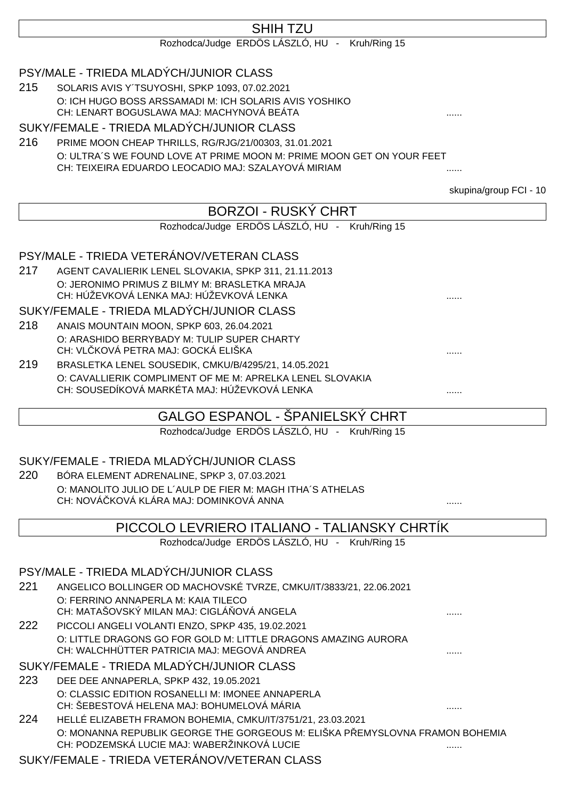# SHIH TZU

Rozhodca/Judge ERDÖS LÁSZLÓ, HU - Kruh/Ring 15

## PSY/MALE - TRIEDA MLADÝCH/JUNIOR CLASS

215 SOLARIS AVIS Y´TSUYOSHI, SPKP 1093, 07.02.2021 O: ICH HUGO BOSS ARSSAMADI M: ICH SOLARIS AVIS YOSHIKO CH: LENART BOGUSLAWA MAJ: MACHYNOVÁ BEÁTA ......

#### SUKY/FEMALE - TRIEDA MLADÝCH/JUNIOR CLASS

216 PRIME MOON CHEAP THRILLS, RG/RJG/21/00303, 31.01.2021 O: ULTRA´S WE FOUND LOVE AT PRIME MOON M: PRIME MOON GET ON YOUR FEET CH: TEIXEIRA EDUARDO LEOCADIO MAJ: SZALAYOVÁ MIRIAM ......

skupina/group FCI - 10

|     |                                                                                                                             | SKUPIHA/GHOUP FUL - TV |
|-----|-----------------------------------------------------------------------------------------------------------------------------|------------------------|
|     | <b>BORZOI - RUSKÝ CHRT</b>                                                                                                  |                        |
|     | Rozhodca/Judge ERDÖS LÁSZLÓ, HU - Kruh/Ring 15                                                                              |                        |
|     |                                                                                                                             |                        |
|     | PSY/MALE - TRIEDA VETERÁNOV/VETERAN CLASS                                                                                   |                        |
| 217 | AGENT CAVALIERIK LENEL SLOVAKIA, SPKP 311, 21.11.2013                                                                       |                        |
|     | O: JERONIMO PRIMUS Z BILMY M: BRASLETKA MRAJA<br>CH: HÚŽEVKOVÁ LENKA MAJ: HÚŽEVKOVÁ LENKA                                   |                        |
|     | SUKY/FEMALE - TRIEDA MLADÝCH/JUNIOR CLASS                                                                                   |                        |
| 218 |                                                                                                                             |                        |
|     | ANAIS MOUNTAIN MOON, SPKP 603, 26.04.2021                                                                                   |                        |
|     | O: ARASHIDO BERRYBADY M: TULIP SUPER CHARTY<br>CH: VL KOVÁ PETRA MAJ: GOCKÁ ELIŠKA                                          |                        |
| 219 | BRASLETKA LENEL SOUSEDIK, CMKU/B/4295/21, 14.05.2021                                                                        |                        |
|     | O: CAVALLIERIK COMPLIMENT OF ME M: APRELKA LENEL SLOVAKIA                                                                   |                        |
|     | CH: SOUSEDÍKOVÁ MARKÉTA MAJ: HÚŽEVKOVÁ LENKA                                                                                |                        |
|     |                                                                                                                             |                        |
|     | GALGO ESPANOL - SPANIELSKÝ CHRT                                                                                             |                        |
|     | Rozhodca/Judge ERDÖS LÁSZLÓ, HU - Kruh/Ring 15                                                                              |                        |
|     | SUKY/FEMALE - TRIEDA MLADÝCH/JUNIOR CLASS                                                                                   |                        |
| 220 | BÓRA ELEMENT ADRENALINE, SPKP 3, 07.03.2021                                                                                 |                        |
|     | O: MANOLITO JULIO DE L'AULP DE FIER M: MAGH ITHA'S ATHELAS                                                                  |                        |
|     | CH: NOVÁ KOVÁ KLÁRA MAJ: DOMINKOVÁ ANNA                                                                                     |                        |
|     | PICCOLO LEVRIERO ITALIANO - TALIANSKY CHRTIK                                                                                |                        |
|     | Rozhodca/Judge ERDÖS LÁSZLÓ, HU - Kruh/Ring 15                                                                              |                        |
|     |                                                                                                                             |                        |
|     | PSY/MALE - TRIEDA MLADÝCH/JUNIOR CLASS                                                                                      |                        |
| 221 | ANGELICO BOLLINGER OD MACHOVSKÉ TVRZE, CMKU/IT/3833/21, 22.06.2021                                                          |                        |
|     | O: FERRINO ANNAPERLA M: KAIA TILECO                                                                                         |                        |
|     | CH: MATAŠOVSKÝ MILAN MAJ: CIGLÁ OVÁ ANGELA                                                                                  |                        |
| 222 | PICCOLI ANGELI VOLANTI ENZO, SPKP 435, 19.02.2021                                                                           |                        |
|     | O: LITTLE DRAGONS GO FOR GOLD M: LITTLE DRAGONS AMAZING AURORA                                                              |                        |
|     | CH: WALCHHÜTTER PATRICIA MAJ: MEGOVÁ ANDREA                                                                                 |                        |
|     | SUKY/FEMALE - TRIEDA MLADÝCH/JUNIOR CLASS                                                                                   |                        |
| 223 | DEE DEE ANNAPERLA, SPKP 432, 19.05.2021                                                                                     |                        |
|     | O: CLASSIC EDITION ROSANELLI M: IMONEE ANNAPERLA<br>CH: ŠEBESTOVÁ HELENA MAJ: BOHUMELOVÁ MÁRIA                              |                        |
| 224 | HELLÉ ELIZABETH FRAMON BOHEMIA, CMKU/IT/3751/21, 23.03.2021                                                                 |                        |
|     | O: MONANNA REPUBLIK GEORGE THE GORGEOUS M: ELIŠKA P EMYSLOVNA FRAMON BOHEMIA<br>CH: PODZEMSKÁ LUCIE MAJ: WABERŽINKOVÁ LUCIE |                        |
|     | SUKY/FEMALE - TRIEDA VETERÁNOV/VETERAN CLASS                                                                                |                        |
|     |                                                                                                                             |                        |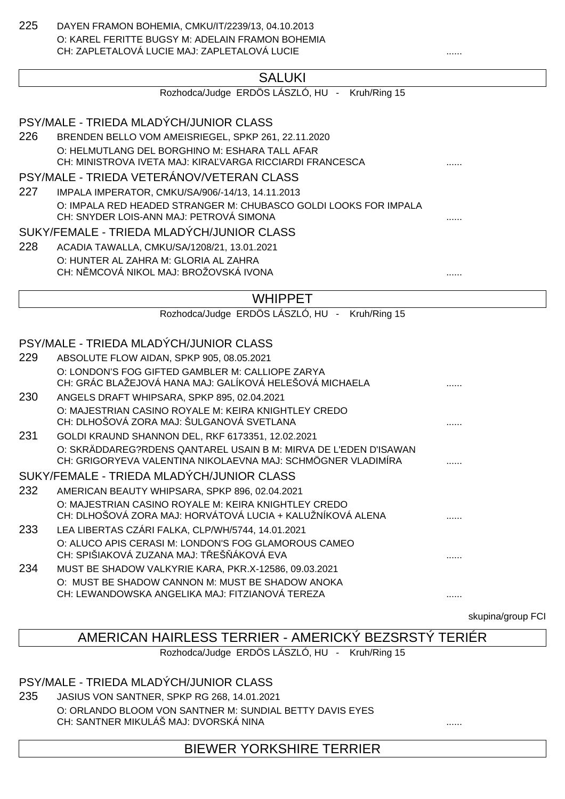225 DAYEN FRAMON BOHEMIA, CMKU/IT/2239/13, 04.10.2013 O: KAREL FERITTE BUGSY M: ADELAIN FRAMON BOHEMIA CH: ZAPLETALOVÁ LUCIE MAJ: ZAPLETALOVÁ LUCIE

# **SALUKI**

Rozhodca/Judge ERDÖS LÁSZLÓ, HU - Kruh/Ring 15

# PSY/MALE - TRIEDA MLADÝCH/JUNIOR CLASS

226 BRENDEN BELLO VOM AMEISRIEGEL, SPKP 261, 22.11.2020 O: HELMUTLANG DEL BORGHINO M: ESHARA TALL AFAR CH: MINISTROVA IVETA MAJ: KIRAĽVARGA RICCIARDI FRANCESCA ......

### PSY/MALE - TRIEDA VETERÁNOV/VETERAN CLASS

227 IMPALA IMPERATOR, CMKU/SA/906/-14/13, 14.11.2013 O: IMPALA RED HEADED STRANGER M: CHUBASCO GOLDI LOOKS FOR IMPALA CH: SNYDER LOIS-ANN MAJ: PETROVÁ SIMONA ......

#### SUKY/FEMALE - TRIEDA MLADÝCH/JUNIOR CLASS

228 ACADIA TAWALLA, CMKU/SA/1208/21, 13.01.2021 O: HUNTER AL ZAHRA M: GLORIA AL ZAHRA CH: N MCOVÁ NIKOL MAJ: BROŽOVSKÁ IVONA

### WHIPPET

Rozhodca/Judge ERDÖS LÁSZLÓ, HU - Kruh/Ring 15

# PSY/MALE - TRIEDA MLADÝCH/JUNIOR CLASS

| 229        | ABSOLUTE FLOW AIDAN, SPKP 905, 08.05.2021                                                                          |  |
|------------|--------------------------------------------------------------------------------------------------------------------|--|
|            | O: LONDON'S FOG GIFTED GAMBLER M: CALLIOPE ZARYA                                                                   |  |
|            | CH: GRÁC BLAŽEJOVÁ HANA MAJ: GALÍKOVÁ HELEŠOVÁ MICHAELA                                                            |  |
| <b>230</b> | ANGELS DRAFT WHIPSARA, SPKP 895, 02.04.2021                                                                        |  |
|            | O: MAJESTRIAN CASINO ROYALE M: KEIRA KNIGHTLEY CREDO<br>CH: DLHOŠOVÁ ZORA MAJ: ŠULGANOVÁ SVETLANA                  |  |
| 231        | GOLDI KRAUND SHANNON DEL, RKF 6173351, 12.02.2021                                                                  |  |
|            | O: SKRÄDDAREG?RDENS QANTAREL USAIN B M: MIRVA DE L'EDEN D'ISAWAN                                                   |  |
|            | CH: GRIGORYEVA VALENTINA NIKOLAEVNA MAJ: SCHMÖGNER VLADIMÍRA                                                       |  |
|            | SUKY/FEMALE - TRIEDA MLADÝCH/JUNIOR CLASS                                                                          |  |
| 232        | AMERICAN BEAUTY WHIPSARA, SPKP 896, 02.04.2021                                                                     |  |
|            | O: MAJESTRIAN CASINO ROYALE M: KEIRA KNIGHTLEY CREDO<br>CH: DLHOŠOVÁ ZORA MAJ: HORVÁTOVÁ LUCIA + KALUŽNÍKOVÁ ALENA |  |
| 233        | LEA LIBERTAS CZÁRI FALKA, CLP/WH/5744, 14.01.2021                                                                  |  |
|            | O: ALUCO APIS CERASI M: LONDON'S FOG GLAMOROUS CAMEO                                                               |  |
|            | CH: SPIŠIAKOVÁ ZUZANA MAJ: T EŠ ÁKOVÁ EVA                                                                          |  |
| 234        | MUST BE SHADOW VALKYRIE KARA, PKR.X-12586, 09.03.2021                                                              |  |
|            | O: MUST BE SHADOW CANNON M: MUST BE SHADOW ANOKA                                                                   |  |
|            | CH: LEWANDOWSKA ANGELIKA MAJ: FITZIANOVÁ TEREZA                                                                    |  |

skupina/group FCI

# AMERICAN HAIRLESS TERRIER - AMERICKÝ BEZSRSTÝ TERIÉR

Rozhodca/Judge ERDÖS LÁSZLÓ, HU - Kruh/Ring 15

### PSY/MALE - TRIEDA MLADÝCH/JUNIOR CLASS

235 JASIUS VON SANTNER, SPKP RG 268, 14.01.2021 O: ORLANDO BLOOM VON SANTNER M: SUNDIAL BETTY DAVIS EYES CH: SANTNER MIKULÁŠ MAJ: DVORSKÁ NINA

BIEWER YORKSHIRE TERRIER